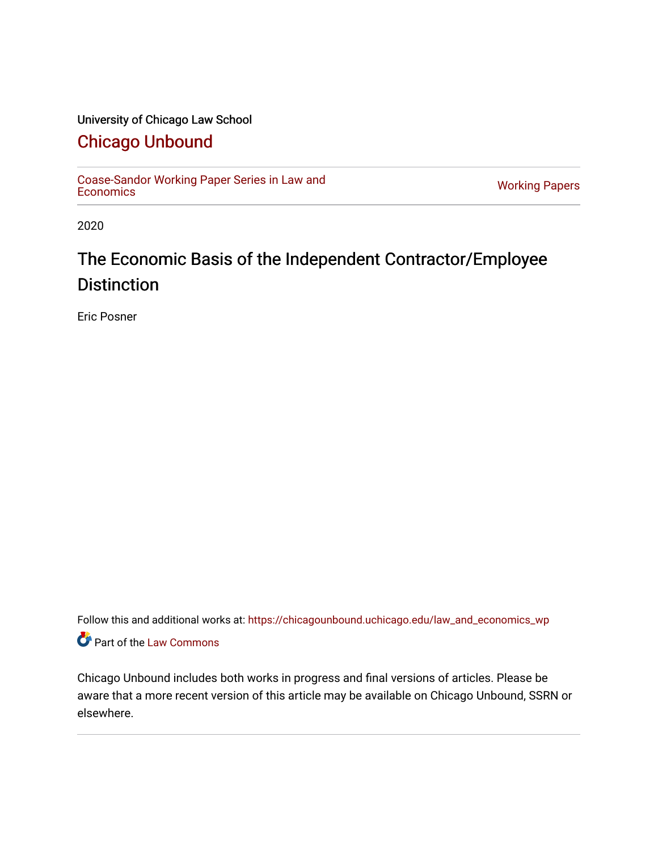# University of Chicago Law School

# [Chicago Unbound](https://chicagounbound.uchicago.edu/)

[Coase-Sandor Working Paper Series in Law and](https://chicagounbound.uchicago.edu/law_and_economics_wp) [Economics](https://chicagounbound.uchicago.edu/law_and_economics_wp) [Working Papers](https://chicagounbound.uchicago.edu/working_papers) 

2020

# The Economic Basis of the Independent Contractor/Employee **Distinction**

Eric Posner

Follow this and additional works at: [https://chicagounbound.uchicago.edu/law\\_and\\_economics\\_wp](https://chicagounbound.uchicago.edu/law_and_economics_wp?utm_source=chicagounbound.uchicago.edu%2Flaw_and_economics_wp%2F39&utm_medium=PDF&utm_campaign=PDFCoverPages)  Part of the [Law Commons](http://network.bepress.com/hgg/discipline/578?utm_source=chicagounbound.uchicago.edu%2Flaw_and_economics_wp%2F39&utm_medium=PDF&utm_campaign=PDFCoverPages)

Chicago Unbound includes both works in progress and final versions of articles. Please be aware that a more recent version of this article may be available on Chicago Unbound, SSRN or elsewhere.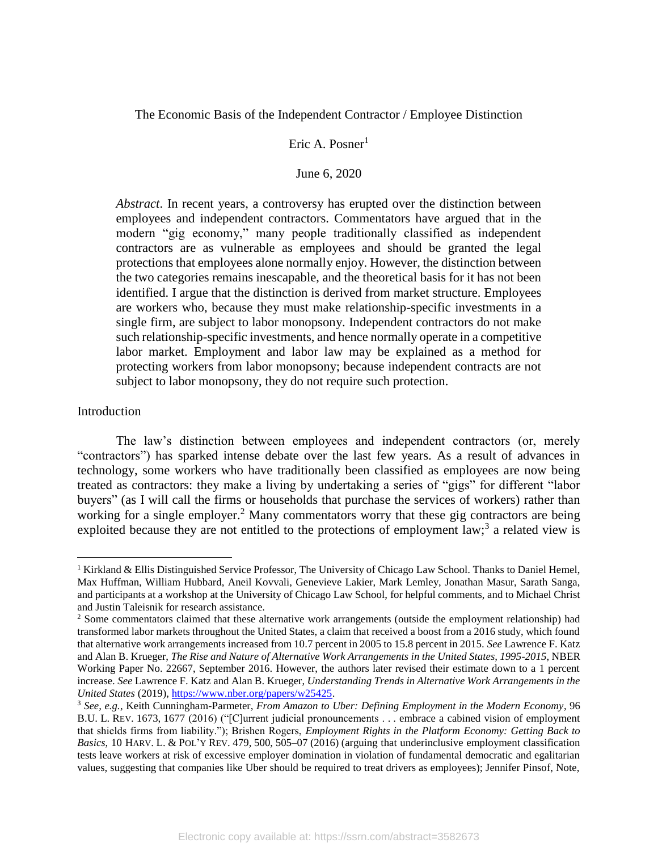The Economic Basis of the Independent Contractor / Employee Distinction

Eric A. Posner $<sup>1</sup>$ </sup>

# <span id="page-1-0"></span>June 6, 2020

*Abstract*. In recent years, a controversy has erupted over the distinction between employees and independent contractors. Commentators have argued that in the modern "gig economy," many people traditionally classified as independent contractors are as vulnerable as employees and should be granted the legal protections that employees alone normally enjoy. However, the distinction between the two categories remains inescapable, and the theoretical basis for it has not been identified. I argue that the distinction is derived from market structure. Employees are workers who, because they must make relationship-specific investments in a single firm, are subject to labor monopsony. Independent contractors do not make such relationship-specific investments, and hence normally operate in a competitive labor market. Employment and labor law may be explained as a method for protecting workers from labor monopsony; because independent contracts are not subject to labor monopsony, they do not require such protection.

# Introduction

 $\overline{a}$ 

The law's distinction between employees and independent contractors (or, merely "contractors") has sparked intense debate over the last few years. As a result of advances in technology, some workers who have traditionally been classified as employees are now being treated as contractors: they make a living by undertaking a series of "gigs" for different "labor buyers" (as I will call the firms or households that purchase the services of workers) rather than working for a single employer.<sup>2</sup> Many commentators worry that these gig contractors are being exploited because they are not entitled to the protections of employment law;<sup>3</sup> a related view is

<sup>&</sup>lt;sup>1</sup> Kirkland & Ellis Distinguished Service Professor, The University of Chicago Law School. Thanks to Daniel Hemel, Max Huffman, William Hubbard, Aneil Kovvali, Genevieve Lakier, Mark Lemley, Jonathan Masur, Sarath Sanga, and participants at a workshop at the University of Chicago Law School, for helpful comments, and to Michael Christ and Justin Taleisnik for research assistance.

<sup>&</sup>lt;sup>2</sup> Some commentators claimed that these alternative work arrangements (outside the employment relationship) had transformed labor markets throughout the United States, a claim that received a boost from a 2016 study, which found that alternative work arrangements increased from 10.7 percent in 2005 to 15.8 percent in 2015. *See* Lawrence F. Katz and Alan B. Krueger, *The Rise and Nature of Alternative Work Arrangements in the United States, 1995-2015*, NBER Working Paper No. 22667, September 2016. However, the authors later revised their estimate down to a 1 percent increase. *See* Lawrence F. Katz and Alan B. Krueger, *Understanding Trends in Alternative Work Arrangements in the United States* (2019), [https://www.nber.org/papers/w25425.](https://www.nber.org/papers/w25425)

<sup>3</sup> *See, e.g.*, Keith Cunningham-Parmeter, *From Amazon to Uber: Defining Employment in the Modern Economy*, 96 B.U. L. REV. 1673, 1677 (2016) ("[C]urrent judicial pronouncements . . . embrace a cabined vision of employment that shields firms from liability."); Brishen Rogers, *Employment Rights in the Platform Economy: Getting Back to Basics*, 10 HARV. L. & POL'Y REV. 479, 500, 505–07 (2016) (arguing that underinclusive employment classification tests leave workers at risk of excessive employer domination in violation of fundamental democratic and egalitarian values, suggesting that companies like Uber should be required to treat drivers as employees); Jennifer Pinsof, Note,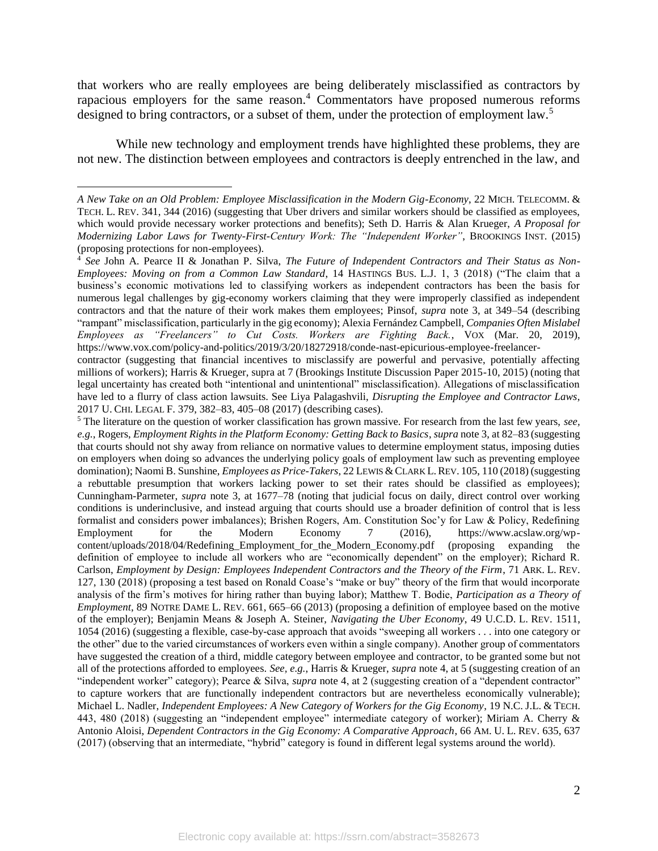<span id="page-2-1"></span><span id="page-2-0"></span>that workers who are really employees are being deliberately misclassified as contractors by rapacious employers for the same reason. <sup>4</sup> Commentators have proposed numerous reforms designed to bring contractors, or a subset of them, under the protection of employment law.<sup>5</sup>

While new technology and employment trends have highlighted these problems, they are not new. The distinction between employees and contractors is deeply entrenched in the law, and

*A New Take on an Old Problem: Employee Misclassification in the Modern Gig-Economy*, 22 MICH. TELECOMM. & TECH. L. REV. 341, 344 (2016) (suggesting that Uber drivers and similar workers should be classified as employees, which would provide necessary worker protections and benefits); Seth D. Harris & Alan Krueger, *A Proposal for Modernizing Labor Laws for Twenty-First-Century Work: The "Independent Worker"*, BROOKINGS INST. (2015) (proposing protections for non-employees).

<sup>4</sup> *See* John A. Pearce II & Jonathan P. Silva, *The Future of Independent Contractors and Their Status as Non-Employees: Moving on from a Common Law Standard*, 14 HASTINGS BUS. L.J. 1, 3 (2018) ("The claim that a business's economic motivations led to classifying workers as independent contractors has been the basis for numerous legal challenges by gig-economy workers claiming that they were improperly classified as independent contractors and that the nature of their work makes them employees; Pinsof, *supra* note [3,](#page-1-0) at 349–54 (describing "rampant" misclassification, particularly in the gig economy); Alexia Fernández Campbell, *Companies Often Mislabel Employees as "Freelancers" to Cut Costs. Workers are Fighting Back.*, VOX (Mar. 20, 2019), https://www.vox.com/policy-and-politics/2019/3/20/18272918/conde-nast-epicurious-employee-freelancer-

contractor (suggesting that financial incentives to misclassify are powerful and pervasive, potentially affecting millions of workers); Harris & Krueger, supra at 7 (Brookings Institute Discussion Paper 2015-10, 2015) (noting that legal uncertainty has created both "intentional and unintentional" misclassification). Allegations of misclassification have led to a flurry of class action lawsuits. See Liya Palagashvili, *Disrupting the Employee and Contractor Laws*, 2017 U. CHI. LEGAL F. 379, 382–83, 405–08 (2017) (describing cases).

<sup>5</sup> The literature on the question of worker classification has grown massive. For research from the last few years, *see, e.g.*, Rogers, *Employment Rights in the Platform Economy: Getting Back to Basics*, *supra* note [3,](#page-1-0) at 82–83 (suggesting that courts should not shy away from reliance on normative values to determine employment status, imposing duties on employers when doing so advances the underlying policy goals of employment law such as preventing employee domination); Naomi B. Sunshine, *Employees as Price-Takers*, 22 LEWIS & CLARK L. REV. 105, 110 (2018) (suggesting a rebuttable presumption that workers lacking power to set their rates should be classified as employees); Cunningham-Parmeter, *supra* note [3,](#page-1-0) at 1677–78 (noting that judicial focus on daily, direct control over working conditions is underinclusive, and instead arguing that courts should use a broader definition of control that is less formalist and considers power imbalances); Brishen Rogers, Am. Constitution Soc'y for Law & Policy, Redefining Employment for the Modern Economy 7 (2016), https://www.acslaw.org/wpcontent/uploads/2018/04/Redefining\_Employment\_for\_the\_Modern\_Economy.pdf (proposing expanding the definition of employee to include all workers who are "economically dependent" on the employer); Richard R. Carlson, *Employment by Design: Employees Independent Contractors and the Theory of the Firm*, 71 ARK. L. REV. 127, 130 (2018) (proposing a test based on Ronald Coase's "make or buy" theory of the firm that would incorporate analysis of the firm's motives for hiring rather than buying labor); Matthew T. Bodie, *Participation as a Theory of Employment*, 89 NOTRE DAME L. REV. 661, 665–66 (2013) (proposing a definition of employee based on the motive of the employer); Benjamin Means & Joseph A. Steiner, *Navigating the Uber Economy*, 49 U.C.D. L. REV. 1511, 1054 (2016) (suggesting a flexible, case-by-case approach that avoids "sweeping all workers . . . into one category or the other" due to the varied circumstances of workers even within a single company). Another group of commentators have suggested the creation of a third, middle category between employee and contractor, to be granted some but not all of the protections afforded to employees. *See, e.g.*, Harris & Krueger, *supra* not[e 4,](#page-2-0) at 5 (suggesting creation of an "independent worker" category); Pearce & Silva, *supra* note [4,](#page-2-0) at 2 (suggesting creation of a "dependent contractor" to capture workers that are functionally independent contractors but are nevertheless economically vulnerable); Michael L. Nadler, *Independent Employees: A New Category of Workers for the Gig Economy*, 19 N.C. J.L. & TECH. 443, 480 (2018) (suggesting an "independent employee" intermediate category of worker); Miriam A. Cherry & Antonio Aloisi, *Dependent Contractors in the Gig Economy: A Comparative Approach*, 66 AM. U. L. REV. 635, 637 (2017) (observing that an intermediate, "hybrid" category is found in different legal systems around the world).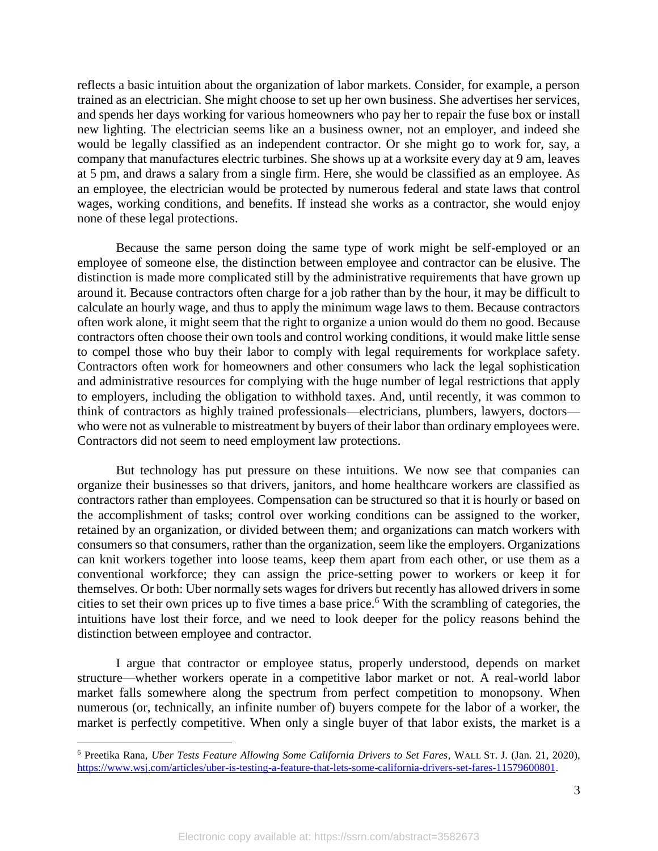reflects a basic intuition about the organization of labor markets. Consider, for example, a person trained as an electrician. She might choose to set up her own business. She advertises her services, and spends her days working for various homeowners who pay her to repair the fuse box or install new lighting. The electrician seems like an a business owner, not an employer, and indeed she would be legally classified as an independent contractor. Or she might go to work for, say, a company that manufactures electric turbines. She shows up at a worksite every day at 9 am, leaves at 5 pm, and draws a salary from a single firm. Here, she would be classified as an employee. As an employee, the electrician would be protected by numerous federal and state laws that control wages, working conditions, and benefits. If instead she works as a contractor, she would enjoy none of these legal protections.

Because the same person doing the same type of work might be self-employed or an employee of someone else, the distinction between employee and contractor can be elusive. The distinction is made more complicated still by the administrative requirements that have grown up around it. Because contractors often charge for a job rather than by the hour, it may be difficult to calculate an hourly wage, and thus to apply the minimum wage laws to them. Because contractors often work alone, it might seem that the right to organize a union would do them no good. Because contractors often choose their own tools and control working conditions, it would make little sense to compel those who buy their labor to comply with legal requirements for workplace safety. Contractors often work for homeowners and other consumers who lack the legal sophistication and administrative resources for complying with the huge number of legal restrictions that apply to employers, including the obligation to withhold taxes. And, until recently, it was common to think of contractors as highly trained professionals—electricians, plumbers, lawyers, doctors who were not as vulnerable to mistreatment by buyers of their labor than ordinary employees were. Contractors did not seem to need employment law protections.

But technology has put pressure on these intuitions. We now see that companies can organize their businesses so that drivers, janitors, and home healthcare workers are classified as contractors rather than employees. Compensation can be structured so that it is hourly or based on the accomplishment of tasks; control over working conditions can be assigned to the worker, retained by an organization, or divided between them; and organizations can match workers with consumers so that consumers, rather than the organization, seem like the employers. Organizations can knit workers together into loose teams, keep them apart from each other, or use them as a conventional workforce; they can assign the price-setting power to workers or keep it for themselves. Or both: Uber normally sets wages for drivers but recently has allowed drivers in some cities to set their own prices up to five times a base price. <sup>6</sup> With the scrambling of categories, the intuitions have lost their force, and we need to look deeper for the policy reasons behind the distinction between employee and contractor.

I argue that contractor or employee status, properly understood, depends on market structure—whether workers operate in a competitive labor market or not. A real-world labor market falls somewhere along the spectrum from perfect competition to monopsony. When numerous (or, technically, an infinite number of) buyers compete for the labor of a worker, the market is perfectly competitive. When only a single buyer of that labor exists, the market is a

<sup>6</sup> Preetika Rana, *Uber Tests Feature Allowing Some California Drivers to Set Fares*, WALL ST. J. (Jan. 21, 2020), [https://www.wsj.com/articles/uber-is-testing-a-feature-that-lets-some-california-drivers-set-fares-11579600801.](https://www.wsj.com/articles/uber-is-testing-a-feature-that-lets-some-california-drivers-set-fares-11579600801)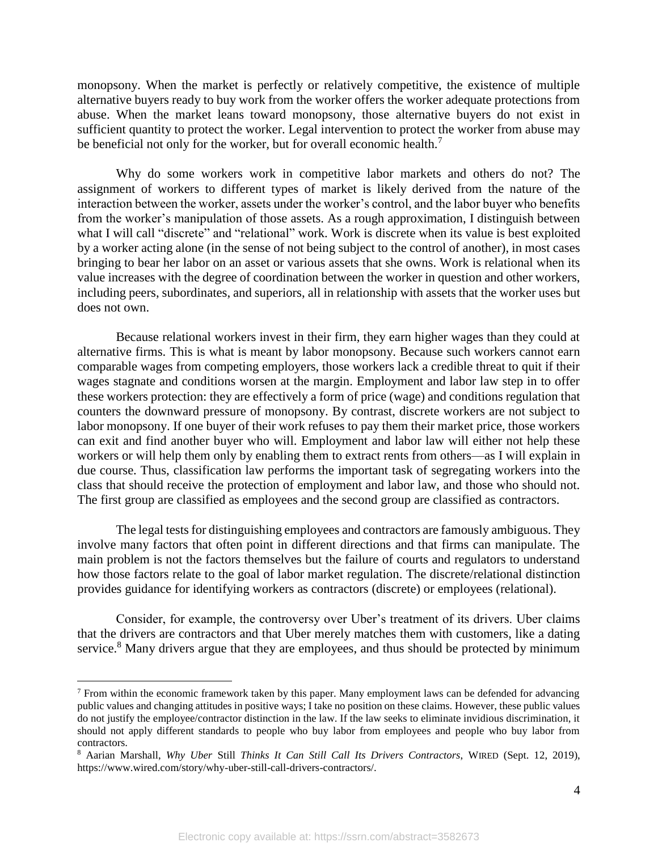monopsony. When the market is perfectly or relatively competitive, the existence of multiple alternative buyers ready to buy work from the worker offers the worker adequate protections from abuse. When the market leans toward monopsony, those alternative buyers do not exist in sufficient quantity to protect the worker. Legal intervention to protect the worker from abuse may be beneficial not only for the worker, but for overall economic health.<sup>7</sup>

Why do some workers work in competitive labor markets and others do not? The assignment of workers to different types of market is likely derived from the nature of the interaction between the worker, assets under the worker's control, and the labor buyer who benefits from the worker's manipulation of those assets. As a rough approximation, I distinguish between what I will call "discrete" and "relational" work. Work is discrete when its value is best exploited by a worker acting alone (in the sense of not being subject to the control of another), in most cases bringing to bear her labor on an asset or various assets that she owns. Work is relational when its value increases with the degree of coordination between the worker in question and other workers, including peers, subordinates, and superiors, all in relationship with assets that the worker uses but does not own.

Because relational workers invest in their firm, they earn higher wages than they could at alternative firms. This is what is meant by labor monopsony. Because such workers cannot earn comparable wages from competing employers, those workers lack a credible threat to quit if their wages stagnate and conditions worsen at the margin. Employment and labor law step in to offer these workers protection: they are effectively a form of price (wage) and conditions regulation that counters the downward pressure of monopsony. By contrast, discrete workers are not subject to labor monopsony. If one buyer of their work refuses to pay them their market price, those workers can exit and find another buyer who will. Employment and labor law will either not help these workers or will help them only by enabling them to extract rents from others—as I will explain in due course. Thus, classification law performs the important task of segregating workers into the class that should receive the protection of employment and labor law, and those who should not. The first group are classified as employees and the second group are classified as contractors.

The legal tests for distinguishing employees and contractors are famously ambiguous. They involve many factors that often point in different directions and that firms can manipulate. The main problem is not the factors themselves but the failure of courts and regulators to understand how those factors relate to the goal of labor market regulation. The discrete/relational distinction provides guidance for identifying workers as contractors (discrete) or employees (relational).

Consider, for example, the controversy over Uber's treatment of its drivers. Uber claims that the drivers are contractors and that Uber merely matches them with customers, like a dating service.<sup>8</sup> Many drivers argue that they are employees, and thus should be protected by minimum

<sup>7</sup> From within the economic framework taken by this paper. Many employment laws can be defended for advancing public values and changing attitudes in positive ways; I take no position on these claims. However, these public values do not justify the employee/contractor distinction in the law. If the law seeks to eliminate invidious discrimination, it should not apply different standards to people who buy labor from employees and people who buy labor from contractors.

<sup>8</sup> Aarian Marshall, *Why Uber* Still *Thinks It Can Still Call Its Drivers Contractors*, WIRED (Sept. 12, 2019), https://www.wired.com/story/why-uber-still-call-drivers-contractors/.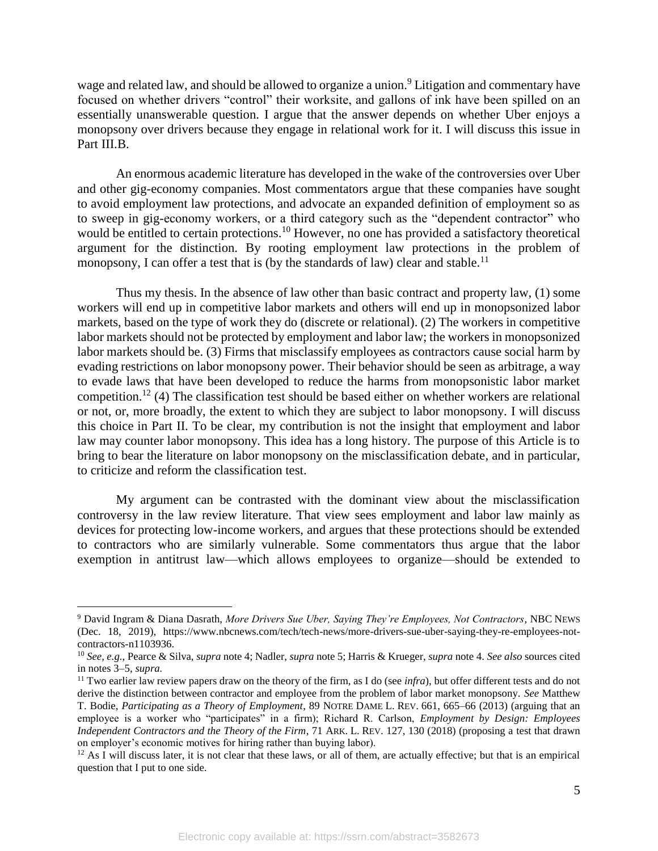wage and related law, and should be allowed to organize a union.<sup>9</sup> Litigation and commentary have focused on whether drivers "control" their worksite, and gallons of ink have been spilled on an essentially unanswerable question. I argue that the answer depends on whether Uber enjoys a monopsony over drivers because they engage in relational work for it. I will discuss this issue in Part III.B.

An enormous academic literature has developed in the wake of the controversies over Uber and other gig-economy companies. Most commentators argue that these companies have sought to avoid employment law protections, and advocate an expanded definition of employment so as to sweep in gig-economy workers, or a third category such as the "dependent contractor" who would be entitled to certain protections.<sup>10</sup> However, no one has provided a satisfactory theoretical argument for the distinction. By rooting employment law protections in the problem of monopsony, I can offer a test that is (by the standards of law) clear and stable.<sup>11</sup>

Thus my thesis. In the absence of law other than basic contract and property law, (1) some workers will end up in competitive labor markets and others will end up in monopsonized labor markets, based on the type of work they do (discrete or relational). (2) The workers in competitive labor markets should not be protected by employment and labor law; the workers in monopsonized labor markets should be. (3) Firms that misclassify employees as contractors cause social harm by evading restrictions on labor monopsony power. Their behavior should be seen as arbitrage, a way to evade laws that have been developed to reduce the harms from monopsonistic labor market competition.<sup>12</sup> (4) The classification test should be based either on whether workers are relational or not, or, more broadly, the extent to which they are subject to labor monopsony. I will discuss this choice in Part II. To be clear, my contribution is not the insight that employment and labor law may counter labor monopsony. This idea has a long history. The purpose of this Article is to bring to bear the literature on labor monopsony on the misclassification debate, and in particular, to criticize and reform the classification test.

My argument can be contrasted with the dominant view about the misclassification controversy in the law review literature. That view sees employment and labor law mainly as devices for protecting low-income workers, and argues that these protections should be extended to contractors who are similarly vulnerable. Some commentators thus argue that the labor exemption in antitrust law—which allows employees to organize—should be extended to

<sup>9</sup> David Ingram & Diana Dasrath, *More Drivers Sue Uber, Saying They're Employees, Not Contractors*, NBC NEWS (Dec. 18, 2019), https://www.nbcnews.com/tech/tech-news/more-drivers-sue-uber-saying-they-re-employees-notcontractors-n1103936.

<sup>10</sup> *See, e.g.*, Pearce & Silva, *supra* not[e 4;](#page-2-0) Nadler, *supra* note [5;](#page-2-1) Harris & Krueger, *supra* not[e 4.](#page-2-0) *See also* sources cited in notes [3–](#page-1-0)[5,](#page-2-1) *supra.* 

<sup>&</sup>lt;sup>11</sup> Two earlier law review papers draw on the theory of the firm, as I do (see *infra*), but offer different tests and do not derive the distinction between contractor and employee from the problem of labor market monopsony. *See* Matthew T. Bodie, *Participating as a Theory of Employment*, 89 NOTRE DAME L. REV. 661, 665–66 (2013) (arguing that an employee is a worker who "participates" in a firm); Richard R. Carlson, *Employment by Design: Employees Independent Contractors and the Theory of the Firm*, 71 ARK. L. REV. 127, 130 (2018) (proposing a test that drawn on employer's economic motives for hiring rather than buying labor).

 $12$  As I will discuss later, it is not clear that these laws, or all of them, are actually effective; but that is an empirical question that I put to one side.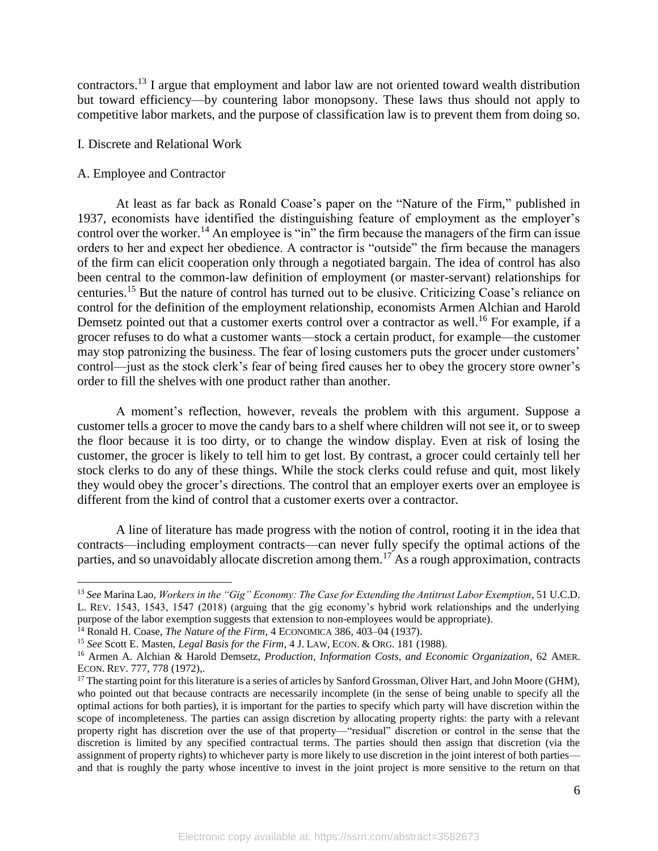contractors.<sup>13</sup> I argue that employment and labor law are not oriented toward wealth distribution but toward efficiency—by countering labor monopsony. These laws thus should not apply to competitive labor markets, and the purpose of classification law is to prevent them from doing so.

# I. Discrete and Relational Work

# A. Employee and Contractor

 $\overline{a}$ 

At least as far back as Ronald Coase's paper on the "Nature of the Firm," published in 1937, economists have identified the distinguishing feature of employment as the employer's control over the worker.<sup>14</sup> An employee is "in" the firm because the managers of the firm can issue orders to her and expect her obedience. A contractor is "outside" the firm because the managers of the firm can elicit cooperation only through a negotiated bargain. The idea of control has also been central to the common-law definition of employment (or master-servant) relationships for centuries.<sup>15</sup> But the nature of control has turned out to be elusive. Criticizing Coase's reliance on control for the definition of the employment relationship, economists Armen Alchian and Harold Demsetz pointed out that a customer exerts control over a contractor as well.<sup>16</sup> For example, if a grocer refuses to do what a customer wants—stock a certain product, for example—the customer may stop patronizing the business. The fear of losing customers puts the grocer under customers' control—just as the stock clerk's fear of being fired causes her to obey the grocery store owner's order to fill the shelves with one product rather than another.

<span id="page-6-0"></span>A moment's reflection, however, reveals the problem with this argument. Suppose a customer tells a grocer to move the candy bars to a shelf where children will not see it, or to sweep the floor because it is too dirty, or to change the window display. Even at risk of losing the customer, the grocer is likely to tell him to get lost. By contrast, a grocer could certainly tell her stock clerks to do any of these things. While the stock clerks could refuse and quit, most likely they would obey the grocer's directions. The control that an employer exerts over an employee is different from the kind of control that a customer exerts over a contractor.

A line of literature has made progress with the notion of control, rooting it in the idea that contracts—including employment contracts—can never fully specify the optimal actions of the parties, and so unavoidably allocate discretion among them.<sup>17</sup> As a rough approximation, contracts

<sup>13</sup> *See* Marina Lao, *Workers in the "Gig" Economy: The Case for Extending the Antitrust Labor Exemption*, 51 U.C.D. L. REV. 1543, 1543, 1547 (2018) (arguing that the gig economy's hybrid work relationships and the underlying purpose of the labor exemption suggests that extension to non-employees would be appropriate).

<sup>14</sup> Ronald H. Coase, *The Nature of the Firm*, 4 ECONOMICA 386, 403–04 (1937).

<sup>15</sup> *See* Scott E. Masten, *Legal Basis for the Firm*, 4 J. LAW, ECON. & ORG. 181 (1988).

<sup>16</sup> Armen A. Alchian & Harold Demsetz, *Production, Information Costs, and Economic Organization*, 62 AMER. ECON. REV. 777, 778 (1972),.

<sup>&</sup>lt;sup>17</sup> The starting point for this literature is a series of articles by Sanford Grossman, Oliver Hart, and John Moore (GHM), who pointed out that because contracts are necessarily incomplete (in the sense of being unable to specify all the optimal actions for both parties), it is important for the parties to specify which party will have discretion within the scope of incompleteness. The parties can assign discretion by allocating property rights: the party with a relevant property right has discretion over the use of that property—"residual" discretion or control in the sense that the discretion is limited by any specified contractual terms. The parties should then assign that discretion (via the assignment of property rights) to whichever party is more likely to use discretion in the joint interest of both parties and that is roughly the party whose incentive to invest in the joint project is more sensitive to the return on that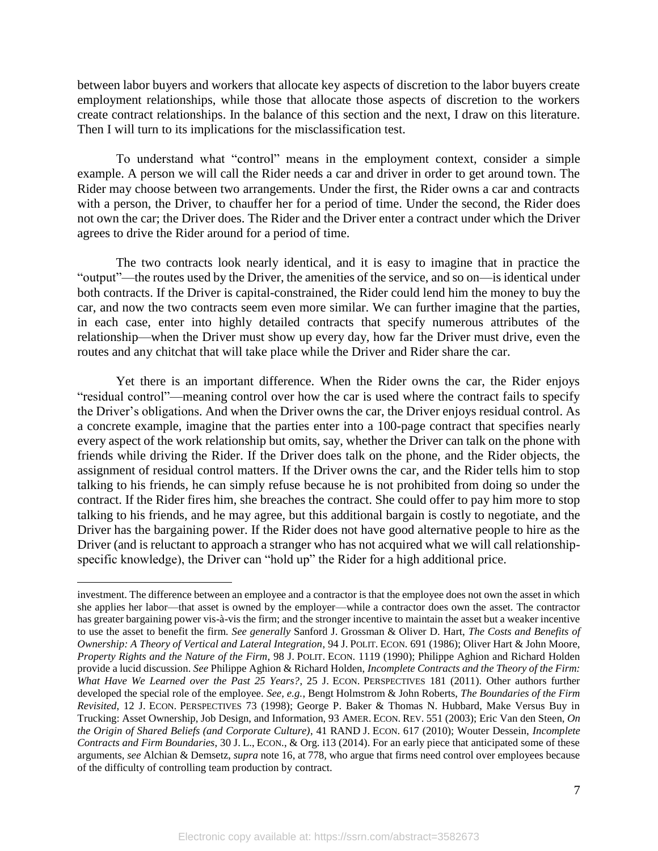between labor buyers and workers that allocate key aspects of discretion to the labor buyers create employment relationships, while those that allocate those aspects of discretion to the workers create contract relationships. In the balance of this section and the next, I draw on this literature. Then I will turn to its implications for the misclassification test.

To understand what "control" means in the employment context, consider a simple example. A person we will call the Rider needs a car and driver in order to get around town. The Rider may choose between two arrangements. Under the first, the Rider owns a car and contracts with a person, the Driver, to chauffer her for a period of time. Under the second, the Rider does not own the car; the Driver does. The Rider and the Driver enter a contract under which the Driver agrees to drive the Rider around for a period of time.

The two contracts look nearly identical, and it is easy to imagine that in practice the "output"—the routes used by the Driver, the amenities of the service, and so on—is identical under both contracts. If the Driver is capital-constrained, the Rider could lend him the money to buy the car, and now the two contracts seem even more similar. We can further imagine that the parties, in each case, enter into highly detailed contracts that specify numerous attributes of the relationship—when the Driver must show up every day, how far the Driver must drive, even the routes and any chitchat that will take place while the Driver and Rider share the car.

Yet there is an important difference. When the Rider owns the car, the Rider enjoys "residual control"—meaning control over how the car is used where the contract fails to specify the Driver's obligations. And when the Driver owns the car, the Driver enjoys residual control. As a concrete example, imagine that the parties enter into a 100-page contract that specifies nearly every aspect of the work relationship but omits, say, whether the Driver can talk on the phone with friends while driving the Rider. If the Driver does talk on the phone, and the Rider objects, the assignment of residual control matters. If the Driver owns the car, and the Rider tells him to stop talking to his friends, he can simply refuse because he is not prohibited from doing so under the contract. If the Rider fires him, she breaches the contract. She could offer to pay him more to stop talking to his friends, and he may agree, but this additional bargain is costly to negotiate, and the Driver has the bargaining power. If the Rider does not have good alternative people to hire as the Driver (and is reluctant to approach a stranger who has not acquired what we will call relationshipspecific knowledge), the Driver can "hold up" the Rider for a high additional price.

investment. The difference between an employee and a contractor is that the employee does not own the asset in which she applies her labor—that asset is owned by the employer—while a contractor does own the asset. The contractor has greater bargaining power vis-à-vis the firm; and the stronger incentive to maintain the asset but a weaker incentive to use the asset to benefit the firm. *See generally* Sanford J. Grossman & Oliver D. Hart, *The Costs and Benefits of Ownership: A Theory of Vertical and Lateral Integration*, 94 J. POLIT. ECON. 691 (1986); Oliver Hart & John Moore, *Property Rights and the Nature of the Firm*, 98 J. POLIT. ECON. 1119 (1990); Philippe Aghion and Richard Holden provide a lucid discussion. *See* Philippe Aghion & Richard Holden, *Incomplete Contracts and the Theory of the Firm: What Have We Learned over the Past 25 Years?*, 25 J. ECON. PERSPECTIVES 181 (2011). Other authors further developed the special role of the employee. *See, e.g.*, Bengt Holmstrom & John Roberts, *The Boundaries of the Firm Revisited*, 12 J. ECON. PERSPECTIVES 73 (1998); George P. Baker & Thomas N. Hubbard, Make Versus Buy in Trucking: Asset Ownership, Job Design, and Information, 93 AMER. ECON. REV. 551 (2003); Eric Van den Steen, *On the Origin of Shared Beliefs (and Corporate Culture)*, 41 RAND J. ECON. 617 (2010); Wouter Dessein, *Incomplete Contracts and Firm Boundaries*, 30 J. L., ECON., & Org. i13 (2014). For an early piece that anticipated some of these arguments, *see* Alchian & Demsetz, *supra* note [16,](#page-6-0) at 778, who argue that firms need control over employees because of the difficulty of controlling team production by contract.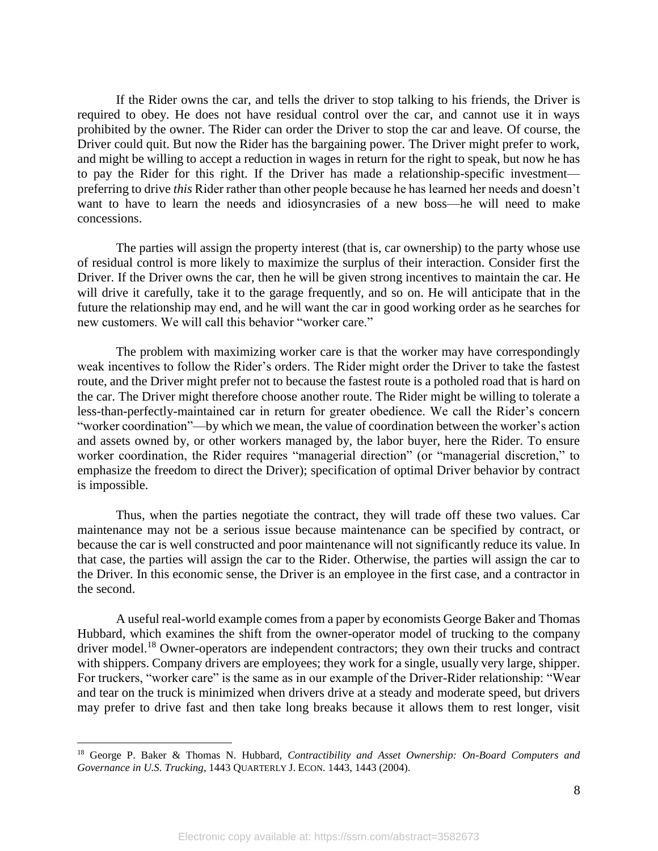If the Rider owns the car, and tells the driver to stop talking to his friends, the Driver is required to obey. He does not have residual control over the car, and cannot use it in ways prohibited by the owner. The Rider can order the Driver to stop the car and leave. Of course, the Driver could quit. But now the Rider has the bargaining power. The Driver might prefer to work, and might be willing to accept a reduction in wages in return for the right to speak, but now he has to pay the Rider for this right. If the Driver has made a relationship-specific investment preferring to drive *this* Rider rather than other people because he has learned her needs and doesn't want to have to learn the needs and idiosyncrasies of a new boss—he will need to make concessions.

The parties will assign the property interest (that is, car ownership) to the party whose use of residual control is more likely to maximize the surplus of their interaction. Consider first the Driver. If the Driver owns the car, then he will be given strong incentives to maintain the car. He will drive it carefully, take it to the garage frequently, and so on. He will anticipate that in the future the relationship may end, and he will want the car in good working order as he searches for new customers. We will call this behavior "worker care."

The problem with maximizing worker care is that the worker may have correspondingly weak incentives to follow the Rider's orders. The Rider might order the Driver to take the fastest route, and the Driver might prefer not to because the fastest route is a potholed road that is hard on the car. The Driver might therefore choose another route. The Rider might be willing to tolerate a less-than-perfectly-maintained car in return for greater obedience. We call the Rider's concern "worker coordination"—by which we mean, the value of coordination between the worker's action and assets owned by, or other workers managed by, the labor buyer, here the Rider. To ensure worker coordination, the Rider requires "managerial direction" (or "managerial discretion," to emphasize the freedom to direct the Driver); specification of optimal Driver behavior by contract is impossible.

Thus, when the parties negotiate the contract, they will trade off these two values. Car maintenance may not be a serious issue because maintenance can be specified by contract, or because the car is well constructed and poor maintenance will not significantly reduce its value. In that case, the parties will assign the car to the Rider. Otherwise, the parties will assign the car to the Driver. In this economic sense, the Driver is an employee in the first case, and a contractor in the second.

A useful real-world example comes from a paper by economists George Baker and Thomas Hubbard, which examines the shift from the owner-operator model of trucking to the company driver model.<sup>18</sup> Owner-operators are independent contractors; they own their trucks and contract with shippers. Company drivers are employees; they work for a single, usually very large, shipper. For truckers, "worker care" is the same as in our example of the Driver-Rider relationship: "Wear and tear on the truck is minimized when drivers drive at a steady and moderate speed, but drivers may prefer to drive fast and then take long breaks because it allows them to rest longer, visit

<sup>18</sup> George P. Baker & Thomas N. Hubbard, *Contractibility and Asset Ownership: On-Board Computers and Governance in U.S. Trucking*, 1443 QUARTERLY J. ECON. 1443, 1443 (2004).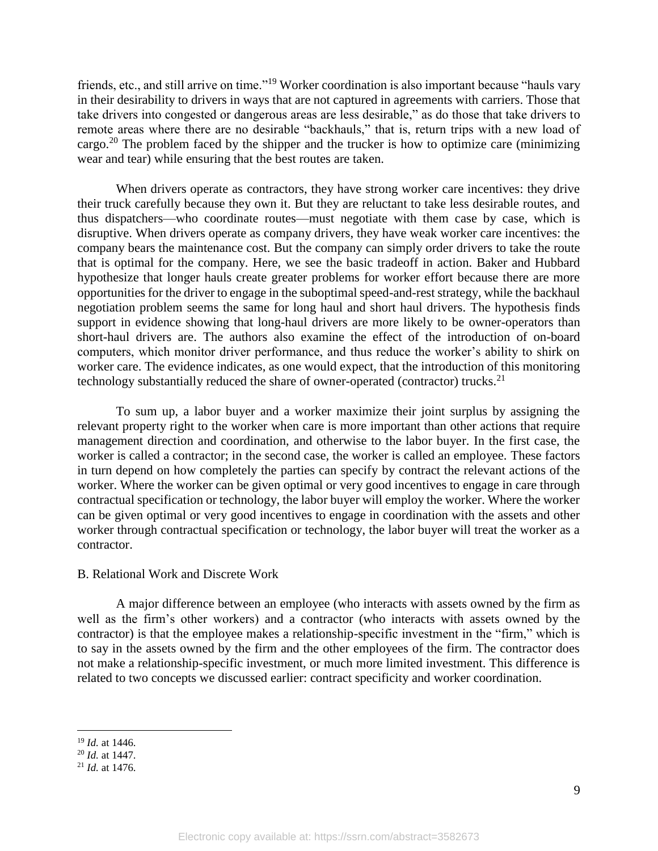friends, etc., and still arrive on time."<sup>19</sup> Worker coordination is also important because "hauls vary in their desirability to drivers in ways that are not captured in agreements with carriers. Those that take drivers into congested or dangerous areas are less desirable," as do those that take drivers to remote areas where there are no desirable "backhauls," that is, return trips with a new load of cargo.<sup>20</sup> The problem faced by the shipper and the trucker is how to optimize care (minimizing wear and tear) while ensuring that the best routes are taken.

When drivers operate as contractors, they have strong worker care incentives: they drive their truck carefully because they own it. But they are reluctant to take less desirable routes, and thus dispatchers—who coordinate routes—must negotiate with them case by case, which is disruptive. When drivers operate as company drivers, they have weak worker care incentives: the company bears the maintenance cost. But the company can simply order drivers to take the route that is optimal for the company. Here, we see the basic tradeoff in action. Baker and Hubbard hypothesize that longer hauls create greater problems for worker effort because there are more opportunities for the driver to engage in the suboptimal speed-and-rest strategy, while the backhaul negotiation problem seems the same for long haul and short haul drivers. The hypothesis finds support in evidence showing that long-haul drivers are more likely to be owner-operators than short-haul drivers are. The authors also examine the effect of the introduction of on-board computers, which monitor driver performance, and thus reduce the worker's ability to shirk on worker care. The evidence indicates, as one would expect, that the introduction of this monitoring technology substantially reduced the share of owner-operated (contractor) trucks.<sup>21</sup>

To sum up, a labor buyer and a worker maximize their joint surplus by assigning the relevant property right to the worker when care is more important than other actions that require management direction and coordination, and otherwise to the labor buyer. In the first case, the worker is called a contractor; in the second case, the worker is called an employee. These factors in turn depend on how completely the parties can specify by contract the relevant actions of the worker. Where the worker can be given optimal or very good incentives to engage in care through contractual specification or technology, the labor buyer will employ the worker. Where the worker can be given optimal or very good incentives to engage in coordination with the assets and other worker through contractual specification or technology, the labor buyer will treat the worker as a contractor.

# B. Relational Work and Discrete Work

A major difference between an employee (who interacts with assets owned by the firm as well as the firm's other workers) and a contractor (who interacts with assets owned by the contractor) is that the employee makes a relationship-specific investment in the "firm," which is to say in the assets owned by the firm and the other employees of the firm. The contractor does not make a relationship-specific investment, or much more limited investment. This difference is related to two concepts we discussed earlier: contract specificity and worker coordination.

<sup>19</sup> *Id.* at 1446.

<sup>20</sup> *Id.* at 1447.

<sup>21</sup> *Id.* at 1476.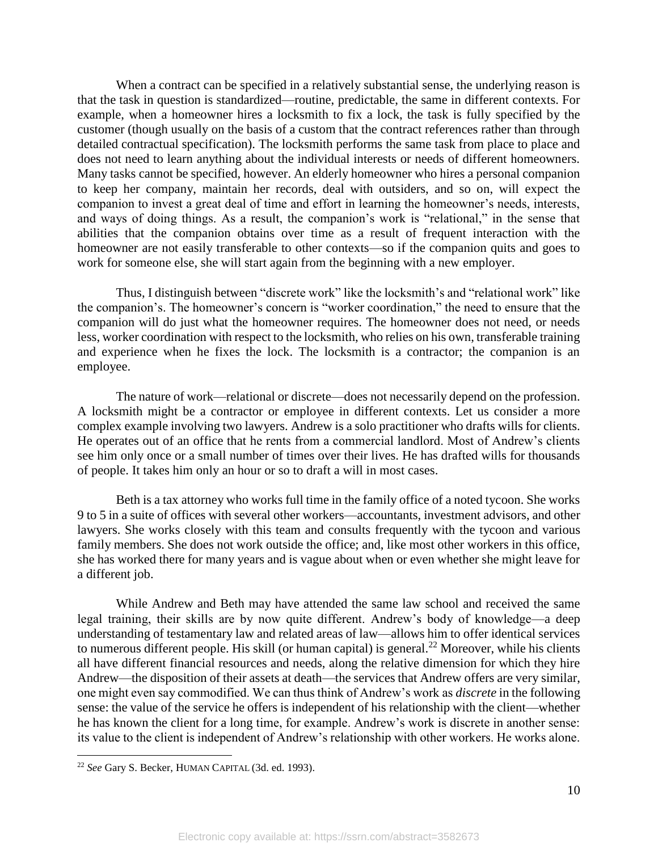When a contract can be specified in a relatively substantial sense, the underlying reason is that the task in question is standardized—routine, predictable, the same in different contexts. For example, when a homeowner hires a locksmith to fix a lock, the task is fully specified by the customer (though usually on the basis of a custom that the contract references rather than through detailed contractual specification). The locksmith performs the same task from place to place and does not need to learn anything about the individual interests or needs of different homeowners. Many tasks cannot be specified, however. An elderly homeowner who hires a personal companion to keep her company, maintain her records, deal with outsiders, and so on, will expect the companion to invest a great deal of time and effort in learning the homeowner's needs, interests, and ways of doing things. As a result, the companion's work is "relational," in the sense that abilities that the companion obtains over time as a result of frequent interaction with the homeowner are not easily transferable to other contexts—so if the companion quits and goes to work for someone else, she will start again from the beginning with a new employer.

Thus, I distinguish between "discrete work" like the locksmith's and "relational work" like the companion's. The homeowner's concern is "worker coordination," the need to ensure that the companion will do just what the homeowner requires. The homeowner does not need, or needs less, worker coordination with respect to the locksmith, who relies on his own, transferable training and experience when he fixes the lock. The locksmith is a contractor; the companion is an employee.

The nature of work—relational or discrete—does not necessarily depend on the profession. A locksmith might be a contractor or employee in different contexts. Let us consider a more complex example involving two lawyers. Andrew is a solo practitioner who drafts wills for clients. He operates out of an office that he rents from a commercial landlord. Most of Andrew's clients see him only once or a small number of times over their lives. He has drafted wills for thousands of people. It takes him only an hour or so to draft a will in most cases.

Beth is a tax attorney who works full time in the family office of a noted tycoon. She works 9 to 5 in a suite of offices with several other workers—accountants, investment advisors, and other lawyers. She works closely with this team and consults frequently with the tycoon and various family members. She does not work outside the office; and, like most other workers in this office, she has worked there for many years and is vague about when or even whether she might leave for a different job.

While Andrew and Beth may have attended the same law school and received the same legal training, their skills are by now quite different. Andrew's body of knowledge—a deep understanding of testamentary law and related areas of law—allows him to offer identical services to numerous different people. His skill (or human capital) is general.<sup>22</sup> Moreover, while his clients all have different financial resources and needs, along the relative dimension for which they hire Andrew—the disposition of their assets at death—the services that Andrew offers are very similar, one might even say commodified. We can thus think of Andrew's work as *discrete* in the following sense: the value of the service he offers is independent of his relationship with the client—whether he has known the client for a long time, for example. Andrew's work is discrete in another sense: its value to the client is independent of Andrew's relationship with other workers. He works alone.

<sup>22</sup> *See* Gary S. Becker, HUMAN CAPITAL (3d. ed. 1993).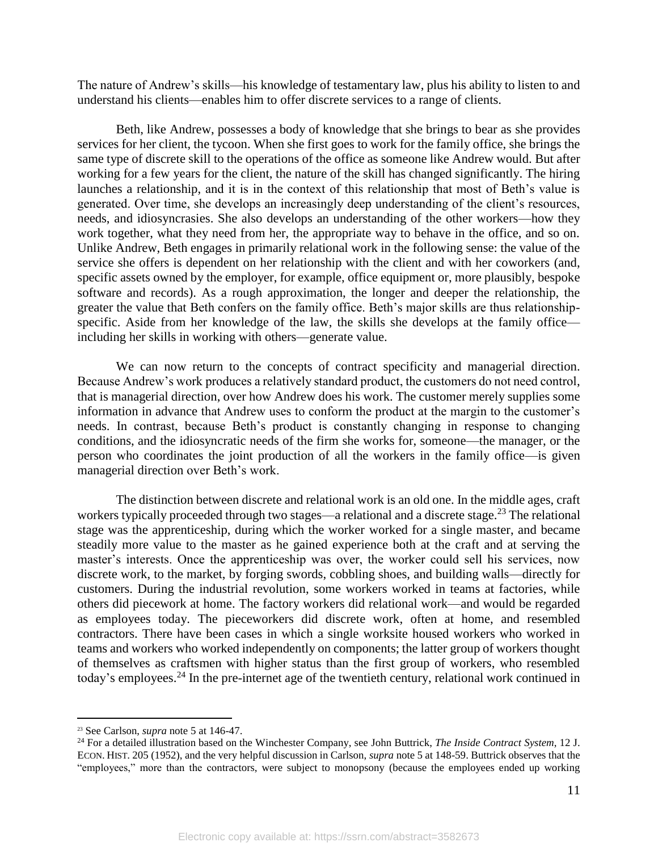The nature of Andrew's skills—his knowledge of testamentary law, plus his ability to listen to and understand his clients—enables him to offer discrete services to a range of clients.

Beth, like Andrew, possesses a body of knowledge that she brings to bear as she provides services for her client, the tycoon. When she first goes to work for the family office, she brings the same type of discrete skill to the operations of the office as someone like Andrew would. But after working for a few years for the client, the nature of the skill has changed significantly. The hiring launches a relationship, and it is in the context of this relationship that most of Beth's value is generated. Over time, she develops an increasingly deep understanding of the client's resources, needs, and idiosyncrasies. She also develops an understanding of the other workers—how they work together, what they need from her, the appropriate way to behave in the office, and so on. Unlike Andrew, Beth engages in primarily relational work in the following sense: the value of the service she offers is dependent on her relationship with the client and with her coworkers (and, specific assets owned by the employer, for example, office equipment or, more plausibly, bespoke software and records). As a rough approximation, the longer and deeper the relationship, the greater the value that Beth confers on the family office. Beth's major skills are thus relationshipspecific. Aside from her knowledge of the law, the skills she develops at the family office including her skills in working with others—generate value.

We can now return to the concepts of contract specificity and managerial direction. Because Andrew's work produces a relatively standard product, the customers do not need control, that is managerial direction, over how Andrew does his work. The customer merely supplies some information in advance that Andrew uses to conform the product at the margin to the customer's needs. In contrast, because Beth's product is constantly changing in response to changing conditions, and the idiosyncratic needs of the firm she works for, someone—the manager, or the person who coordinates the joint production of all the workers in the family office—is given managerial direction over Beth's work.

The distinction between discrete and relational work is an old one. In the middle ages, craft workers typically proceeded through two stages—a relational and a discrete stage.<sup>23</sup> The relational stage was the apprenticeship, during which the worker worked for a single master, and became steadily more value to the master as he gained experience both at the craft and at serving the master's interests. Once the apprenticeship was over, the worker could sell his services, now discrete work, to the market, by forging swords, cobbling shoes, and building walls—directly for customers. During the industrial revolution, some workers worked in teams at factories, while others did piecework at home. The factory workers did relational work—and would be regarded as employees today. The pieceworkers did discrete work, often at home, and resembled contractors. There have been cases in which a single worksite housed workers who worked in teams and workers who worked independently on components; the latter group of workers thought of themselves as craftsmen with higher status than the first group of workers, who resembled today's employees.<sup>24</sup> In the pre-internet age of the twentieth century, relational work continued in

<sup>23</sup> See Carlson, *supra* note [5](#page-2-1) at 146-47.

<sup>24</sup> For a detailed illustration based on the Winchester Company, see John Buttrick, *The Inside Contract System*, 12 J. ECON. HIST. 205 (1952), and the very helpful discussion in Carlson, *supra* not[e 5](#page-2-1) at 148-59. Buttrick observes that the "employees," more than the contractors, were subject to monopsony (because the employees ended up working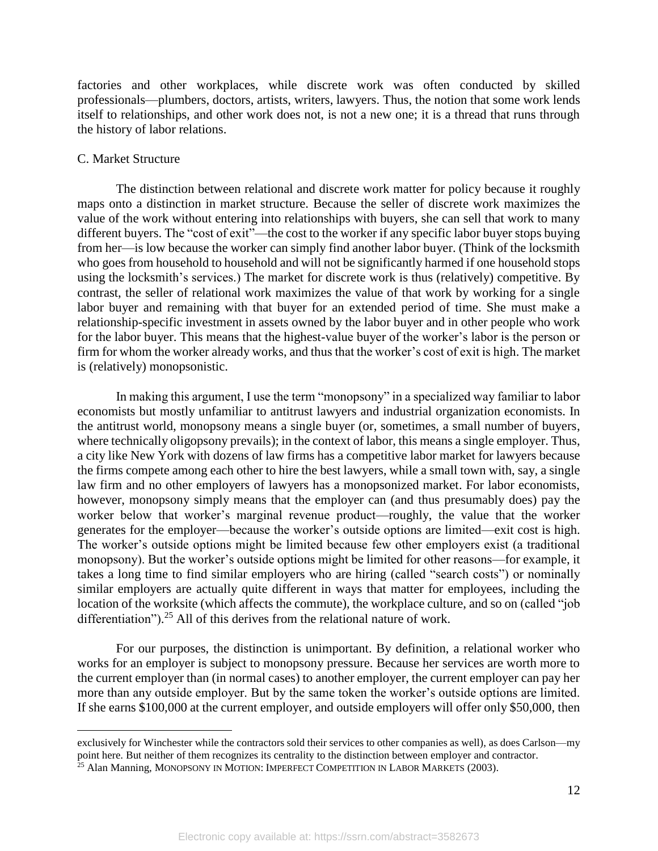factories and other workplaces, while discrete work was often conducted by skilled professionals—plumbers, doctors, artists, writers, lawyers. Thus, the notion that some work lends itself to relationships, and other work does not, is not a new one; it is a thread that runs through the history of labor relations.

# C. Market Structure

 $\overline{a}$ 

The distinction between relational and discrete work matter for policy because it roughly maps onto a distinction in market structure. Because the seller of discrete work maximizes the value of the work without entering into relationships with buyers, she can sell that work to many different buyers. The "cost of exit"—the cost to the worker if any specific labor buyer stops buying from her—is low because the worker can simply find another labor buyer. (Think of the locksmith who goes from household to household and will not be significantly harmed if one household stops using the locksmith's services.) The market for discrete work is thus (relatively) competitive. By contrast, the seller of relational work maximizes the value of that work by working for a single labor buyer and remaining with that buyer for an extended period of time. She must make a relationship-specific investment in assets owned by the labor buyer and in other people who work for the labor buyer. This means that the highest-value buyer of the worker's labor is the person or firm for whom the worker already works, and thus that the worker's cost of exit is high. The market is (relatively) monopsonistic.

In making this argument, I use the term "monopsony" in a specialized way familiar to labor economists but mostly unfamiliar to antitrust lawyers and industrial organization economists. In the antitrust world, monopsony means a single buyer (or, sometimes, a small number of buyers, where technically oligopsony prevails); in the context of labor, this means a single employer. Thus, a city like New York with dozens of law firms has a competitive labor market for lawyers because the firms compete among each other to hire the best lawyers, while a small town with, say, a single law firm and no other employers of lawyers has a monopsonized market. For labor economists, however, monopsony simply means that the employer can (and thus presumably does) pay the worker below that worker's marginal revenue product—roughly, the value that the worker generates for the employer—because the worker's outside options are limited—exit cost is high. The worker's outside options might be limited because few other employers exist (a traditional monopsony). But the worker's outside options might be limited for other reasons—for example, it takes a long time to find similar employers who are hiring (called "search costs") or nominally similar employers are actually quite different in ways that matter for employees, including the location of the worksite (which affects the commute), the workplace culture, and so on (called "job differentiation").<sup>25</sup> All of this derives from the relational nature of work.

For our purposes, the distinction is unimportant. By definition, a relational worker who works for an employer is subject to monopsony pressure. Because her services are worth more to the current employer than (in normal cases) to another employer, the current employer can pay her more than any outside employer. But by the same token the worker's outside options are limited. If she earns \$100,000 at the current employer, and outside employers will offer only \$50,000, then

exclusively for Winchester while the contractors sold their services to other companies as well), as does Carlson—my point here. But neither of them recognizes its centrality to the distinction between employer and contractor.

<sup>&</sup>lt;sup>25</sup> Alan Manning, MONOPSONY IN MOTION: IMPERFECT COMPETITION IN LABOR MARKETS (2003).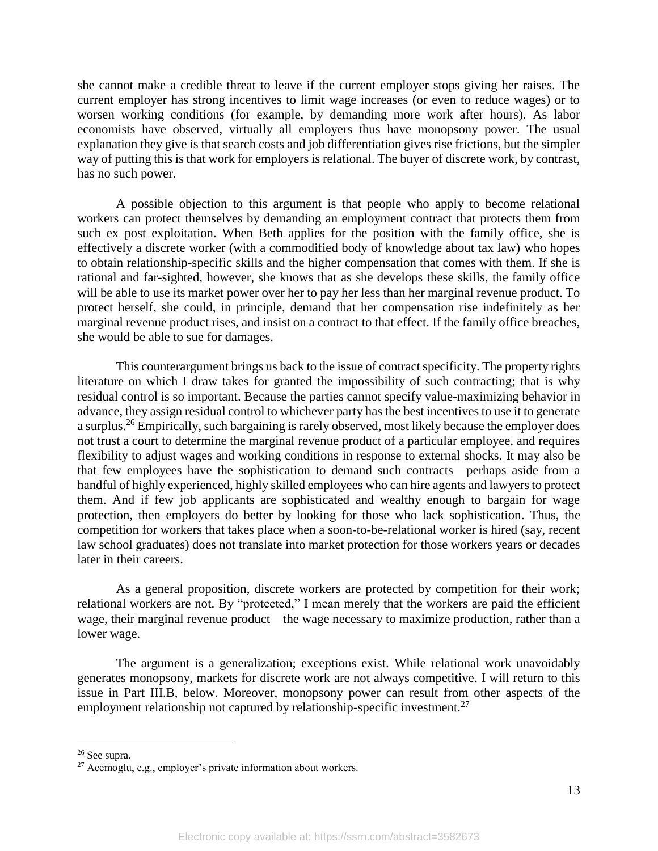she cannot make a credible threat to leave if the current employer stops giving her raises. The current employer has strong incentives to limit wage increases (or even to reduce wages) or to worsen working conditions (for example, by demanding more work after hours). As labor economists have observed, virtually all employers thus have monopsony power. The usual explanation they give is that search costs and job differentiation gives rise frictions, but the simpler way of putting this is that work for employers is relational. The buyer of discrete work, by contrast, has no such power.

A possible objection to this argument is that people who apply to become relational workers can protect themselves by demanding an employment contract that protects them from such ex post exploitation. When Beth applies for the position with the family office, she is effectively a discrete worker (with a commodified body of knowledge about tax law) who hopes to obtain relationship-specific skills and the higher compensation that comes with them. If she is rational and far-sighted, however, she knows that as she develops these skills, the family office will be able to use its market power over her to pay her less than her marginal revenue product. To protect herself, she could, in principle, demand that her compensation rise indefinitely as her marginal revenue product rises, and insist on a contract to that effect. If the family office breaches, she would be able to sue for damages.

This counterargument brings us back to the issue of contract specificity. The property rights literature on which I draw takes for granted the impossibility of such contracting; that is why residual control is so important. Because the parties cannot specify value-maximizing behavior in advance, they assign residual control to whichever party has the best incentives to use it to generate a surplus.<sup>26</sup> Empirically, such bargaining is rarely observed, most likely because the employer does not trust a court to determine the marginal revenue product of a particular employee, and requires flexibility to adjust wages and working conditions in response to external shocks. It may also be that few employees have the sophistication to demand such contracts—perhaps aside from a handful of highly experienced, highly skilled employees who can hire agents and lawyers to protect them. And if few job applicants are sophisticated and wealthy enough to bargain for wage protection, then employers do better by looking for those who lack sophistication. Thus, the competition for workers that takes place when a soon-to-be-relational worker is hired (say, recent law school graduates) does not translate into market protection for those workers years or decades later in their careers.

As a general proposition, discrete workers are protected by competition for their work; relational workers are not. By "protected," I mean merely that the workers are paid the efficient wage, their marginal revenue product—the wage necessary to maximize production, rather than a lower wage.

The argument is a generalization; exceptions exist. While relational work unavoidably generates monopsony, markets for discrete work are not always competitive. I will return to this issue in Part III.B, below. Moreover, monopsony power can result from other aspects of the employment relationship not captured by relationship-specific investment.<sup>27</sup>

<sup>26</sup> See supra.

<sup>27</sup> Acemoglu, e.g., employer's private information about workers.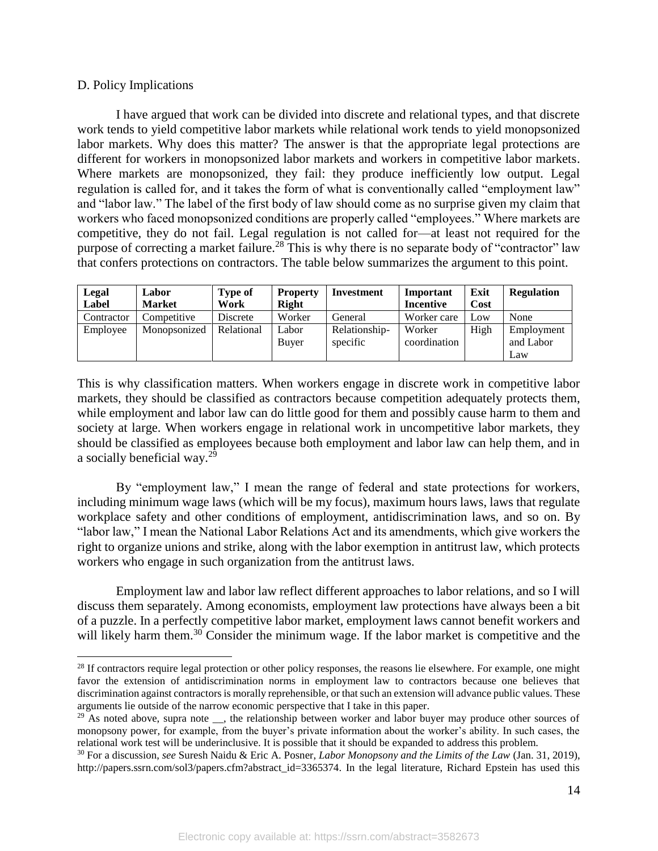# D. Policy Implications

<span id="page-14-0"></span> $\overline{a}$ 

I have argued that work can be divided into discrete and relational types, and that discrete work tends to yield competitive labor markets while relational work tends to yield monopsonized labor markets. Why does this matter? The answer is that the appropriate legal protections are different for workers in monopsonized labor markets and workers in competitive labor markets. Where markets are monopsonized, they fail: they produce inefficiently low output. Legal regulation is called for, and it takes the form of what is conventionally called "employment law" and "labor law." The label of the first body of law should come as no surprise given my claim that workers who faced monopsonized conditions are properly called "employees." Where markets are competitive, they do not fail. Legal regulation is not called for—at least not required for the purpose of correcting a market failure.<sup>28</sup> This is why there is no separate body of "contractor" law that confers protections on contractors. The table below summarizes the argument to this point.

| Legal<br>Label | Labor<br><b>Market</b> | Type of<br>Work | <b>Property</b><br>Right | <b>Investment</b>         | Important<br><b>Incentive</b> | Exit<br>Cost | <b>Regulation</b>              |
|----------------|------------------------|-----------------|--------------------------|---------------------------|-------------------------------|--------------|--------------------------------|
| Contractor     | Competitive            | Discrete        | Worker                   | General                   | Worker care                   | Low          | None                           |
| Employee       | Monopsonized           | Relational      | Labor<br>Buver           | Relationship-<br>specific | Worker<br>coordination        | High         | Employment<br>and Labor<br>Law |

This is why classification matters. When workers engage in discrete work in competitive labor markets, they should be classified as contractors because competition adequately protects them, while employment and labor law can do little good for them and possibly cause harm to them and society at large. When workers engage in relational work in uncompetitive labor markets, they should be classified as employees because both employment and labor law can help them, and in a socially beneficial way.<sup>29</sup>

By "employment law," I mean the range of federal and state protections for workers, including minimum wage laws (which will be my focus), maximum hours laws, laws that regulate workplace safety and other conditions of employment, antidiscrimination laws, and so on. By "labor law," I mean the National Labor Relations Act and its amendments, which give workers the right to organize unions and strike, along with the labor exemption in antitrust law, which protects workers who engage in such organization from the antitrust laws.

Employment law and labor law reflect different approaches to labor relations, and so I will discuss them separately. Among economists, employment law protections have always been a bit of a puzzle. In a perfectly competitive labor market, employment laws cannot benefit workers and will likely harm them.<sup>30</sup> Consider the minimum wage. If the labor market is competitive and the

<sup>&</sup>lt;sup>28</sup> If contractors require legal protection or other policy responses, the reasons lie elsewhere. For example, one might favor the extension of antidiscrimination norms in employment law to contractors because one believes that discrimination against contractors is morally reprehensible, or that such an extension will advance public values. These arguments lie outside of the narrow economic perspective that I take in this paper.

 $29$  As noted above, supra note  $\overline{\phantom{a}}$ , the relationship between worker and labor buyer may produce other sources of monopsony power, for example, from the buyer's private information about the worker's ability. In such cases, the relational work test will be underinclusive. It is possible that it should be expanded to address this problem.

<sup>30</sup> For a discussion, *see* Suresh Naidu & Eric A. Posner, *Labor Monopsony and the Limits of the Law* (Jan. 31, 2019), http://papers.ssrn.com/sol3/papers.cfm?abstract\_id=3365374. In the legal literature, Richard Epstein has used this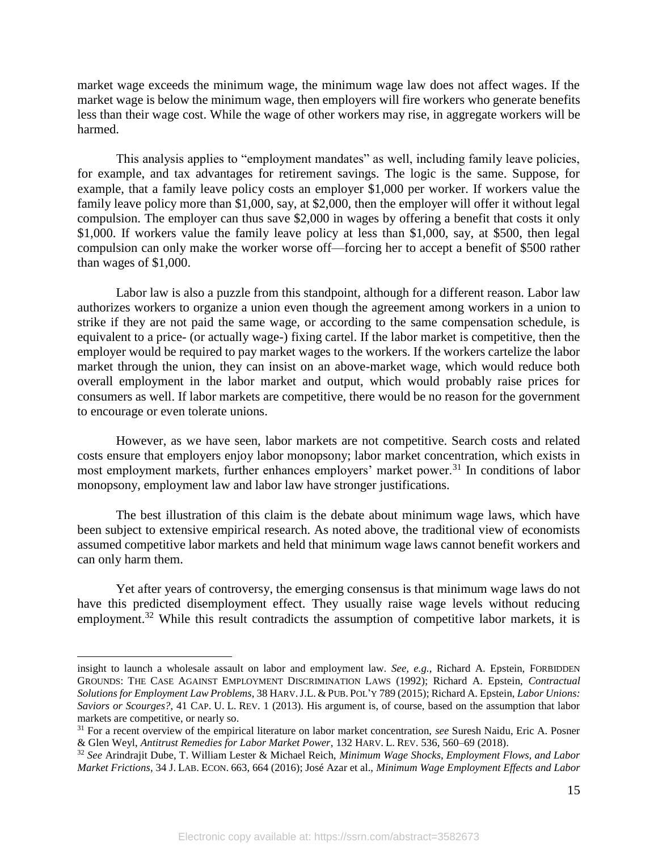market wage exceeds the minimum wage, the minimum wage law does not affect wages. If the market wage is below the minimum wage, then employers will fire workers who generate benefits less than their wage cost. While the wage of other workers may rise, in aggregate workers will be harmed.

This analysis applies to "employment mandates" as well, including family leave policies, for example, and tax advantages for retirement savings. The logic is the same. Suppose, for example, that a family leave policy costs an employer \$1,000 per worker. If workers value the family leave policy more than \$1,000, say, at \$2,000, then the employer will offer it without legal compulsion. The employer can thus save \$2,000 in wages by offering a benefit that costs it only \$1,000. If workers value the family leave policy at less than \$1,000, say, at \$500, then legal compulsion can only make the worker worse off—forcing her to accept a benefit of \$500 rather than wages of \$1,000.

Labor law is also a puzzle from this standpoint, although for a different reason. Labor law authorizes workers to organize a union even though the agreement among workers in a union to strike if they are not paid the same wage, or according to the same compensation schedule, is equivalent to a price- (or actually wage-) fixing cartel. If the labor market is competitive, then the employer would be required to pay market wages to the workers. If the workers cartelize the labor market through the union, they can insist on an above-market wage, which would reduce both overall employment in the labor market and output, which would probably raise prices for consumers as well. If labor markets are competitive, there would be no reason for the government to encourage or even tolerate unions.

<span id="page-15-0"></span>However, as we have seen, labor markets are not competitive. Search costs and related costs ensure that employers enjoy labor monopsony; labor market concentration, which exists in most employment markets, further enhances employers' market power.<sup>31</sup> In conditions of labor monopsony, employment law and labor law have stronger justifications.

The best illustration of this claim is the debate about minimum wage laws, which have been subject to extensive empirical research. As noted above, the traditional view of economists assumed competitive labor markets and held that minimum wage laws cannot benefit workers and can only harm them.

Yet after years of controversy, the emerging consensus is that minimum wage laws do not have this predicted disemployment effect. They usually raise wage levels without reducing employment.<sup>32</sup> While this result contradicts the assumption of competitive labor markets, it is

insight to launch a wholesale assault on labor and employment law. *See, e.g.*, Richard A. Epstein, FORBIDDEN GROUNDS: THE CASE AGAINST EMPLOYMENT DISCRIMINATION LAWS (1992); Richard A. Epstein, *Contractual Solutions for Employment Law Problems*, 38 HARV.J.L. &PUB. POL'Y 789 (2015); Richard A. Epstein, *Labor Unions: Saviors or Scourges?*, 41 CAP. U. L. REV. 1 (2013). His argument is, of course, based on the assumption that labor markets are competitive, or nearly so.

<sup>31</sup> For a recent overview of the empirical literature on labor market concentration, *see* Suresh Naidu, Eric A. Posner & Glen Weyl, *Antitrust Remedies for Labor Market Power*, 132 HARV. L. REV. 536, 560–69 (2018).

<sup>32</sup> *See* Arindrajit Dube, T. William Lester & Michael Reich, *Minimum Wage Shocks, Employment Flows, and Labor Market Frictions*, 34 J. LAB. ECON. 663, 664 (2016); José Azar et al., *Minimum Wage Employment Effects and Labor*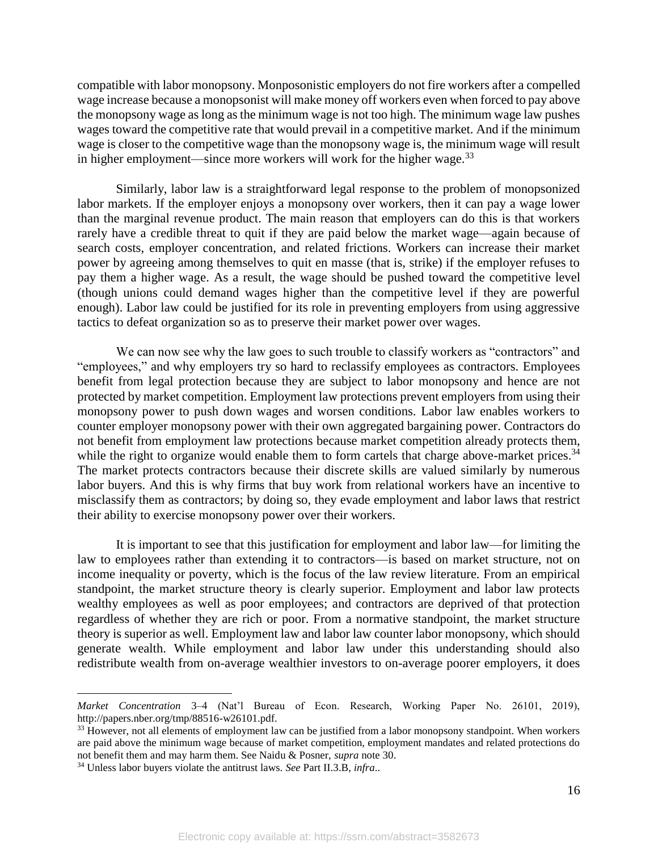compatible with labor monopsony. Monposonistic employers do not fire workers after a compelled wage increase because a monopsonist will make money off workers even when forced to pay above the monopsony wage as long as the minimum wage is not too high. The minimum wage law pushes wages toward the competitive rate that would prevail in a competitive market. And if the minimum wage is closer to the competitive wage than the monopsony wage is, the minimum wage will result in higher employment—since more workers will work for the higher wage. $33$ 

Similarly, labor law is a straightforward legal response to the problem of monopsonized labor markets. If the employer enjoys a monopsony over workers, then it can pay a wage lower than the marginal revenue product. The main reason that employers can do this is that workers rarely have a credible threat to quit if they are paid below the market wage—again because of search costs, employer concentration, and related frictions. Workers can increase their market power by agreeing among themselves to quit en masse (that is, strike) if the employer refuses to pay them a higher wage. As a result, the wage should be pushed toward the competitive level (though unions could demand wages higher than the competitive level if they are powerful enough). Labor law could be justified for its role in preventing employers from using aggressive tactics to defeat organization so as to preserve their market power over wages.

We can now see why the law goes to such trouble to classify workers as "contractors" and "employees," and why employers try so hard to reclassify employees as contractors. Employees benefit from legal protection because they are subject to labor monopsony and hence are not protected by market competition. Employment law protections prevent employers from using their monopsony power to push down wages and worsen conditions. Labor law enables workers to counter employer monopsony power with their own aggregated bargaining power. Contractors do not benefit from employment law protections because market competition already protects them, while the right to organize would enable them to form cartels that charge above-market prices.<sup>34</sup> The market protects contractors because their discrete skills are valued similarly by numerous labor buyers. And this is why firms that buy work from relational workers have an incentive to misclassify them as contractors; by doing so, they evade employment and labor laws that restrict their ability to exercise monopsony power over their workers.

It is important to see that this justification for employment and labor law—for limiting the law to employees rather than extending it to contractors—is based on market structure, not on income inequality or poverty, which is the focus of the law review literature. From an empirical standpoint, the market structure theory is clearly superior. Employment and labor law protects wealthy employees as well as poor employees; and contractors are deprived of that protection regardless of whether they are rich or poor. From a normative standpoint, the market structure theory is superior as well. Employment law and labor law counter labor monopsony, which should generate wealth. While employment and labor law under this understanding should also redistribute wealth from on-average wealthier investors to on-average poorer employers, it does

*Market Concentration* 3–4 (Nat'l Bureau of Econ. Research, Working Paper No. 26101, 2019), http://papers.nber.org/tmp/88516-w26101.pdf.

<sup>&</sup>lt;sup>33</sup> However, not all elements of employment law can be justified from a labor monopsony standpoint. When workers are paid above the minimum wage because of market competition, employment mandates and related protections do not benefit them and may harm them. See Naidu & Posner, *supra* note [30.](#page-14-0)

<sup>34</sup> Unless labor buyers violate the antitrust laws. *See* Part II.3.B, *infra*..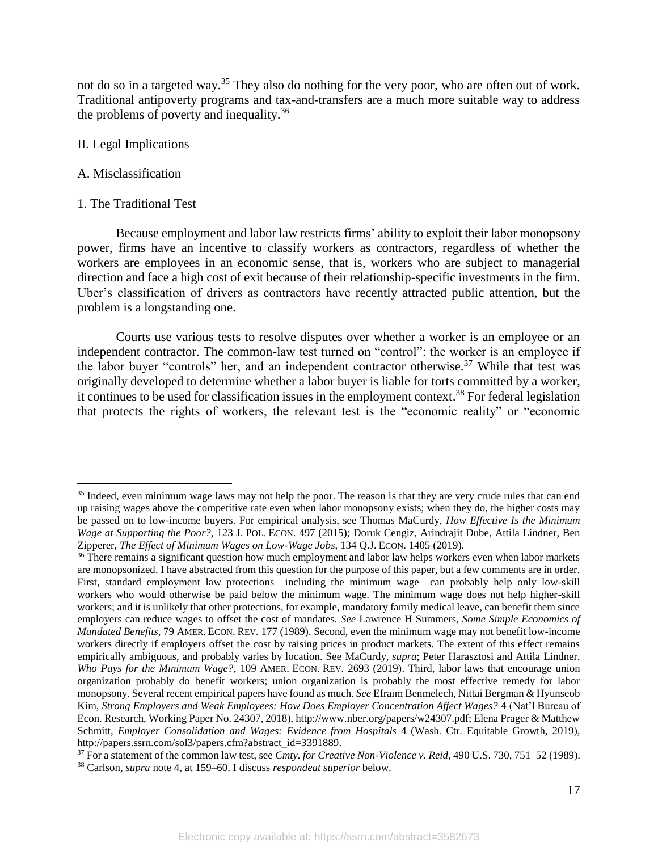not do so in a targeted way.<sup>35</sup> They also do nothing for the very poor, who are often out of work. Traditional antipoverty programs and tax-and-transfers are a much more suitable way to address the problems of poverty and inequality.<sup>36</sup>

# II. Legal Implications

# A. Misclassification

 $\overline{a}$ 

### 1. The Traditional Test

Because employment and labor law restricts firms' ability to exploit their labor monopsony power, firms have an incentive to classify workers as contractors, regardless of whether the workers are employees in an economic sense, that is, workers who are subject to managerial direction and face a high cost of exit because of their relationship-specific investments in the firm. Uber's classification of drivers as contractors have recently attracted public attention, but the problem is a longstanding one.

Courts use various tests to resolve disputes over whether a worker is an employee or an independent contractor. The common-law test turned on "control": the worker is an employee if the labor buyer "controls" her, and an independent contractor otherwise.<sup>37</sup> While that test was originally developed to determine whether a labor buyer is liable for torts committed by a worker, it continues to be used for classification issues in the employment context. <sup>38</sup> For federal legislation that protects the rights of workers, the relevant test is the "economic reality" or "economic

<sup>37</sup> For a statement of the common law test, see *Cmty. for Creative Non-Violence v. Reid*, 490 U.S. 730, 751–52 (1989). <sup>38</sup> Carlson, *supra* note [4,](#page-2-0) at 159–60. I discuss *respondeat superior* below.

<sup>&</sup>lt;sup>35</sup> Indeed, even minimum wage laws may not help the poor. The reason is that they are very crude rules that can end up raising wages above the competitive rate even when labor monopsony exists; when they do, the higher costs may be passed on to low-income buyers. For empirical analysis, see Thomas MaCurdy, *How Effective Is the Minimum Wage at Supporting the Poor?*, 123 J. POL. ECON. 497 (2015); Doruk Cengiz, Arindrajit Dube, Attila Lindner, Ben Zipperer, *The Effect of Minimum Wages on Low-Wage Jobs*, 134 Q.J. ECON. 1405 (2019).

<sup>&</sup>lt;sup>36</sup> There remains a significant question how much employment and labor law helps workers even when labor markets are monopsonized. I have abstracted from this question for the purpose of this paper, but a few comments are in order. First, standard employment law protections—including the minimum wage—can probably help only low-skill workers who would otherwise be paid below the minimum wage. The minimum wage does not help higher-skill workers; and it is unlikely that other protections, for example, mandatory family medical leave, can benefit them since employers can reduce wages to offset the cost of mandates. *See* Lawrence H Summers, *Some Simple Economics of Mandated Benefits*, 79 AMER. ECON. REV. 177 (1989). Second, even the minimum wage may not benefit low-income workers directly if employers offset the cost by raising prices in product markets. The extent of this effect remains empirically ambiguous, and probably varies by location. See MaCurdy, *supra*; Peter Harasztosi and Attila Lindner. *Who Pays for the Minimum Wage?*, 109 AMER. ECON. REV. 2693 (2019). Third, labor laws that encourage union organization probably do benefit workers; union organization is probably the most effective remedy for labor monopsony. Several recent empirical papers have found as much. *See* Efraim Benmelech, Nittai Bergman & Hyunseob Kim, *Strong Employers and Weak Employees: How Does Employer Concentration Affect Wages?* 4 (Nat'l Bureau of Econ. Research, Working Paper No. 24307, 2018), http://www.nber.org/papers/w24307.pdf; Elena Prager & Matthew Schmitt, *Employer Consolidation and Wages: Evidence from Hospitals* 4 (Wash. Ctr. Equitable Growth, 2019), http://papers.ssrn.com/sol3/papers.cfm?abstract\_id=3391889.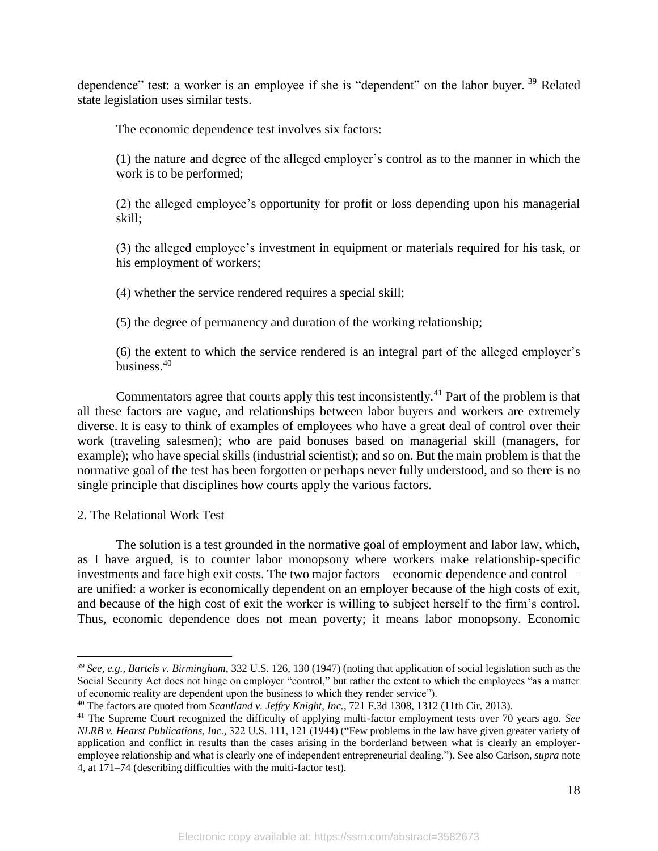dependence" test: a worker is an employee if she is "dependent" on the labor buyer. <sup>39</sup> Related state legislation uses similar tests.

The economic dependence test involves six factors:

(1) the nature and degree of the alleged employer's control as to the manner in which the work is to be performed;

(2) the alleged employee's opportunity for profit or loss depending upon his managerial skill;

(3) the alleged employee's investment in equipment or materials required for his task, or his employment of workers;

(4) whether the service rendered requires a special skill;

(5) the degree of permanency and duration of the working relationship;

(6) the extent to which the service rendered is an integral part of the alleged employer's business.<sup>40</sup>

Commentators agree that courts apply this test inconsistently.<sup>41</sup> Part of the problem is that all these factors are vague, and relationships between labor buyers and workers are extremely diverse. It is easy to think of examples of employees who have a great deal of control over their work (traveling salesmen); who are paid bonuses based on managerial skill (managers, for example); who have special skills (industrial scientist); and so on. But the main problem is that the normative goal of the test has been forgotten or perhaps never fully understood, and so there is no single principle that disciplines how courts apply the various factors.

2. The Relational Work Test

 $\overline{a}$ 

The solution is a test grounded in the normative goal of employment and labor law, which, as I have argued, is to counter labor monopsony where workers make relationship-specific investments and face high exit costs. The two major factors—economic dependence and control are unified: a worker is economically dependent on an employer because of the high costs of exit, and because of the high cost of exit the worker is willing to subject herself to the firm's control. Thus, economic dependence does not mean poverty; it means labor monopsony. Economic

*<sup>39</sup> See, e.g.*, *Bartels v. Birmingham*, 332 U.S. 126, 130 (1947) (noting that application of social legislation such as the Social Security Act does not hinge on employer "control," but rather the extent to which the employees "as a matter of economic reality are dependent upon the business to which they render service").

<sup>40</sup> The factors are quoted from *Scantland v. Jeffry Knight, Inc.*, 721 F.3d 1308, 1312 (11th Cir. 2013).

<sup>41</sup> The Supreme Court recognized the difficulty of applying multi-factor employment tests over 70 years ago. *See NLRB v. Hearst Publications, Inc.,* 322 U.S. 111, 121 (1944) ("Few problems in the law have given greater variety of application and conflict in results than the cases arising in the borderland between what is clearly an employeremployee relationship and what is clearly one of independent entrepreneurial dealing."). See also Carlson, *supra* note [4,](#page-2-0) at 171–74 (describing difficulties with the multi-factor test).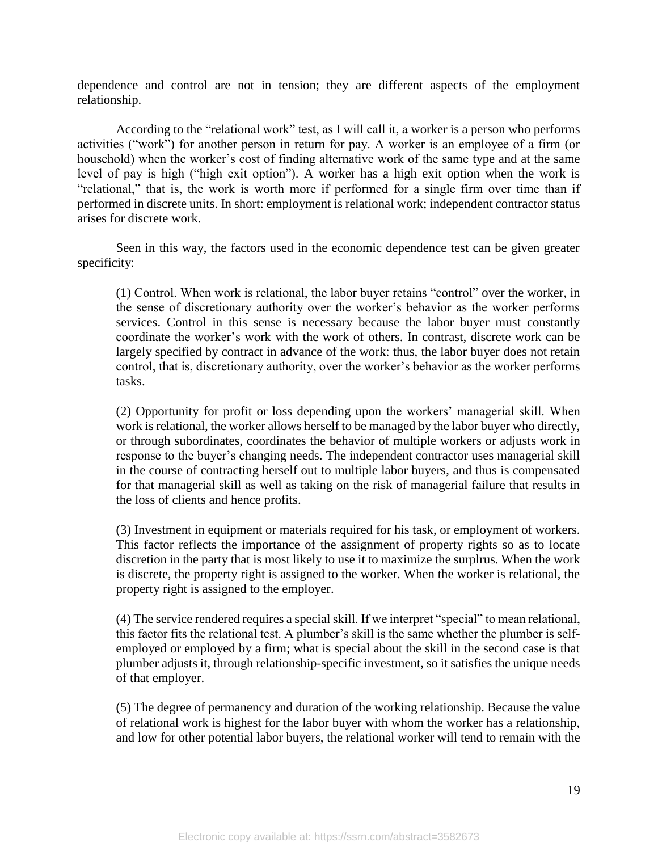dependence and control are not in tension; they are different aspects of the employment relationship.

According to the "relational work" test, as I will call it, a worker is a person who performs activities ("work") for another person in return for pay. A worker is an employee of a firm (or household) when the worker's cost of finding alternative work of the same type and at the same level of pay is high ("high exit option"). A worker has a high exit option when the work is "relational," that is, the work is worth more if performed for a single firm over time than if performed in discrete units. In short: employment is relational work; independent contractor status arises for discrete work.

Seen in this way, the factors used in the economic dependence test can be given greater specificity:

(1) Control. When work is relational, the labor buyer retains "control" over the worker, in the sense of discretionary authority over the worker's behavior as the worker performs services. Control in this sense is necessary because the labor buyer must constantly coordinate the worker's work with the work of others. In contrast, discrete work can be largely specified by contract in advance of the work: thus, the labor buyer does not retain control, that is, discretionary authority, over the worker's behavior as the worker performs tasks.

(2) Opportunity for profit or loss depending upon the workers' managerial skill. When work is relational, the worker allows herself to be managed by the labor buyer who directly, or through subordinates, coordinates the behavior of multiple workers or adjusts work in response to the buyer's changing needs. The independent contractor uses managerial skill in the course of contracting herself out to multiple labor buyers, and thus is compensated for that managerial skill as well as taking on the risk of managerial failure that results in the loss of clients and hence profits.

(3) Investment in equipment or materials required for his task, or employment of workers. This factor reflects the importance of the assignment of property rights so as to locate discretion in the party that is most likely to use it to maximize the surplrus. When the work is discrete, the property right is assigned to the worker. When the worker is relational, the property right is assigned to the employer.

(4) The service rendered requires a special skill. If we interpret "special" to mean relational, this factor fits the relational test. A plumber's skill is the same whether the plumber is selfemployed or employed by a firm; what is special about the skill in the second case is that plumber adjusts it, through relationship-specific investment, so it satisfies the unique needs of that employer.

(5) The degree of permanency and duration of the working relationship. Because the value of relational work is highest for the labor buyer with whom the worker has a relationship, and low for other potential labor buyers, the relational worker will tend to remain with the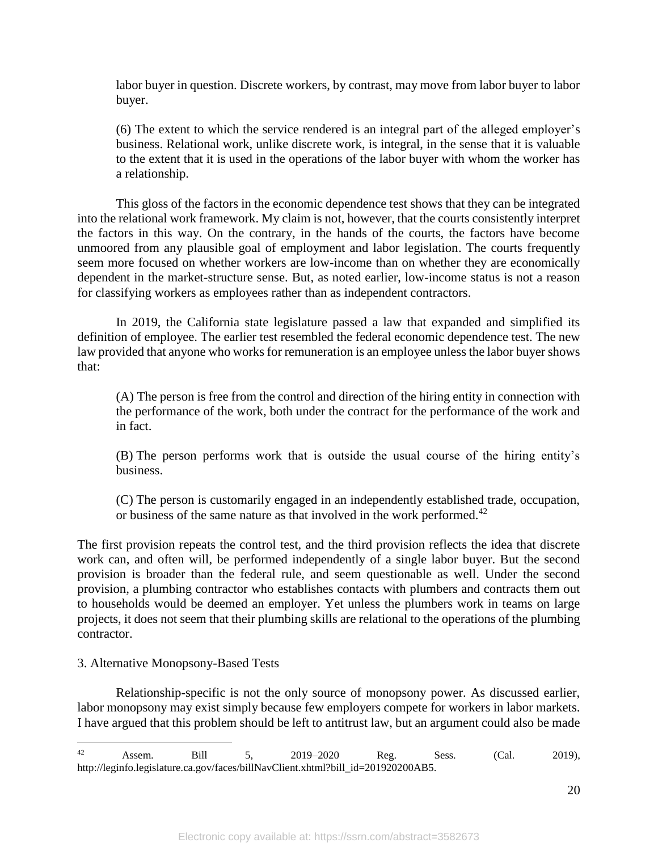labor buyer in question. Discrete workers, by contrast, may move from labor buyer to labor buyer.

(6) The extent to which the service rendered is an integral part of the alleged employer's business. Relational work, unlike discrete work, is integral, in the sense that it is valuable to the extent that it is used in the operations of the labor buyer with whom the worker has a relationship.

This gloss of the factors in the economic dependence test shows that they can be integrated into the relational work framework. My claim is not, however, that the courts consistently interpret the factors in this way. On the contrary, in the hands of the courts, the factors have become unmoored from any plausible goal of employment and labor legislation. The courts frequently seem more focused on whether workers are low-income than on whether they are economically dependent in the market-structure sense. But, as noted earlier, low-income status is not a reason for classifying workers as employees rather than as independent contractors.

In 2019, the California state legislature passed a law that expanded and simplified its definition of employee. The earlier test resembled the federal economic dependence test. The new law provided that anyone who works for remuneration is an employee unless the labor buyer shows that:

(A) The person is free from the control and direction of the hiring entity in connection with the performance of the work, both under the contract for the performance of the work and in fact.

(B) The person performs work that is outside the usual course of the hiring entity's business.

(C) The person is customarily engaged in an independently established trade, occupation, or business of the same nature as that involved in the work performed.<sup>42</sup>

The first provision repeats the control test, and the third provision reflects the idea that discrete work can, and often will, be performed independently of a single labor buyer. But the second provision is broader than the federal rule, and seem questionable as well. Under the second provision, a plumbing contractor who establishes contacts with plumbers and contracts them out to households would be deemed an employer. Yet unless the plumbers work in teams on large projects, it does not seem that their plumbing skills are relational to the operations of the plumbing contractor.

# 3. Alternative Monopsony-Based Tests

Relationship-specific is not the only source of monopsony power. As discussed earlier, labor monopsony may exist simply because few employers compete for workers in labor markets. I have argued that this problem should be left to antitrust law, but an argument could also be made

 $42$  $^{42}$  Assem. Bill 5, 2019–2020 Reg. Sess. (Cal. 2019), http://leginfo.legislature.ca.gov/faces/billNavClient.xhtml?bill\_id=201920200AB5.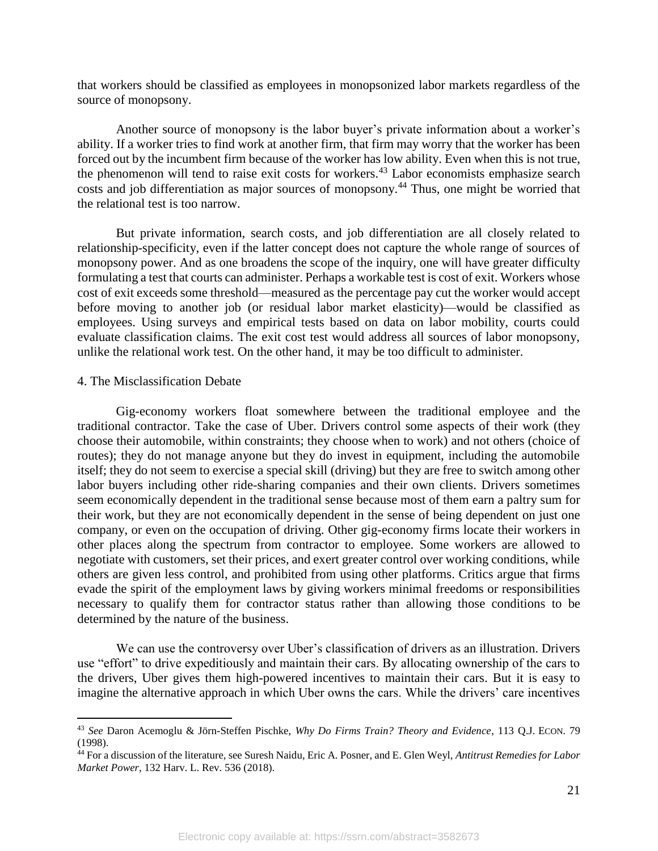that workers should be classified as employees in monopsonized labor markets regardless of the source of monopsony.

Another source of monopsony is the labor buyer's private information about a worker's ability. If a worker tries to find work at another firm, that firm may worry that the worker has been forced out by the incumbent firm because of the worker has low ability. Even when this is not true, the phenomenon will tend to raise exit costs for workers.<sup>43</sup> Labor economists emphasize search costs and job differentiation as major sources of monopsony.<sup>44</sup> Thus, one might be worried that the relational test is too narrow.

But private information, search costs, and job differentiation are all closely related to relationship-specificity, even if the latter concept does not capture the whole range of sources of monopsony power. And as one broadens the scope of the inquiry, one will have greater difficulty formulating a test that courts can administer. Perhaps a workable test is cost of exit. Workers whose cost of exit exceeds some threshold—measured as the percentage pay cut the worker would accept before moving to another job (or residual labor market elasticity)—would be classified as employees. Using surveys and empirical tests based on data on labor mobility, courts could evaluate classification claims. The exit cost test would address all sources of labor monopsony, unlike the relational work test. On the other hand, it may be too difficult to administer.

#### 4. The Misclassification Debate

 $\overline{a}$ 

Gig-economy workers float somewhere between the traditional employee and the traditional contractor. Take the case of Uber. Drivers control some aspects of their work (they choose their automobile, within constraints; they choose when to work) and not others (choice of routes); they do not manage anyone but they do invest in equipment, including the automobile itself; they do not seem to exercise a special skill (driving) but they are free to switch among other labor buyers including other ride-sharing companies and their own clients. Drivers sometimes seem economically dependent in the traditional sense because most of them earn a paltry sum for their work, but they are not economically dependent in the sense of being dependent on just one company, or even on the occupation of driving. Other gig-economy firms locate their workers in other places along the spectrum from contractor to employee. Some workers are allowed to negotiate with customers, set their prices, and exert greater control over working conditions, while others are given less control, and prohibited from using other platforms. Critics argue that firms evade the spirit of the employment laws by giving workers minimal freedoms or responsibilities necessary to qualify them for contractor status rather than allowing those conditions to be determined by the nature of the business.

We can use the controversy over Uber's classification of drivers as an illustration. Drivers use "effort" to drive expeditiously and maintain their cars. By allocating ownership of the cars to the drivers, Uber gives them high-powered incentives to maintain their cars. But it is easy to imagine the alternative approach in which Uber owns the cars. While the drivers' care incentives

<sup>43</sup> *See* Daron Acemoglu & Jörn-Steffen Pischke, *Why Do Firms Train? Theory and Evidence*, 113 Q.J. ECON. 79 (1998).

<sup>44</sup> For a discussion of the literature, see Suresh Naidu, Eric A. Posner, and E. Glen Weyl, *Antitrust Remedies for Labor Market Power*, 132 Harv. L. Rev. 536 (2018).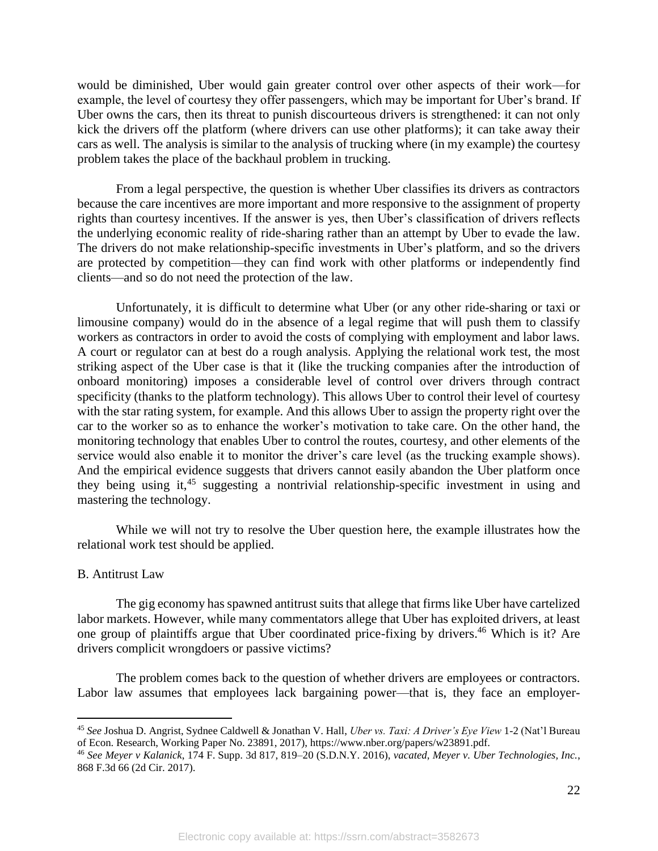would be diminished, Uber would gain greater control over other aspects of their work—for example, the level of courtesy they offer passengers, which may be important for Uber's brand. If Uber owns the cars, then its threat to punish discourteous drivers is strengthened: it can not only kick the drivers off the platform (where drivers can use other platforms); it can take away their cars as well. The analysis is similar to the analysis of trucking where (in my example) the courtesy problem takes the place of the backhaul problem in trucking.

From a legal perspective, the question is whether Uber classifies its drivers as contractors because the care incentives are more important and more responsive to the assignment of property rights than courtesy incentives. If the answer is yes, then Uber's classification of drivers reflects the underlying economic reality of ride-sharing rather than an attempt by Uber to evade the law. The drivers do not make relationship-specific investments in Uber's platform, and so the drivers are protected by competition—they can find work with other platforms or independently find clients—and so do not need the protection of the law.

Unfortunately, it is difficult to determine what Uber (or any other ride-sharing or taxi or limousine company) would do in the absence of a legal regime that will push them to classify workers as contractors in order to avoid the costs of complying with employment and labor laws. A court or regulator can at best do a rough analysis. Applying the relational work test, the most striking aspect of the Uber case is that it (like the trucking companies after the introduction of onboard monitoring) imposes a considerable level of control over drivers through contract specificity (thanks to the platform technology). This allows Uber to control their level of courtesy with the star rating system, for example. And this allows Uber to assign the property right over the car to the worker so as to enhance the worker's motivation to take care. On the other hand, the monitoring technology that enables Uber to control the routes, courtesy, and other elements of the service would also enable it to monitor the driver's care level (as the trucking example shows). And the empirical evidence suggests that drivers cannot easily abandon the Uber platform once they being using it,<sup>45</sup> suggesting a nontrivial relationship-specific investment in using and mastering the technology.

While we will not try to resolve the Uber question here, the example illustrates how the relational work test should be applied.

#### B. Antitrust Law

 $\overline{a}$ 

The gig economy has spawned antitrust suits that allege that firms like Uber have cartelized labor markets. However, while many commentators allege that Uber has exploited drivers, at least one group of plaintiffs argue that Uber coordinated price-fixing by drivers. <sup>46</sup> Which is it? Are drivers complicit wrongdoers or passive victims?

The problem comes back to the question of whether drivers are employees or contractors. Labor law assumes that employees lack bargaining power—that is, they face an employer-

<sup>45</sup> *See* Joshua D. Angrist, Sydnee Caldwell & Jonathan V. Hall, *Uber vs. Taxi: A Driver's Eye View* 1-2 (Nat'l Bureau of Econ. Research, Working Paper No. 23891, 2017), https://www.nber.org/papers/w23891.pdf.

<sup>46</sup> *See Meyer v Kalanick*, 174 F. Supp. 3d 817, 819–20 (S.D.N.Y. 2016), *vacated*, *Meyer v. Uber Technologies, Inc.*, 868 F.3d 66 (2d Cir. 2017).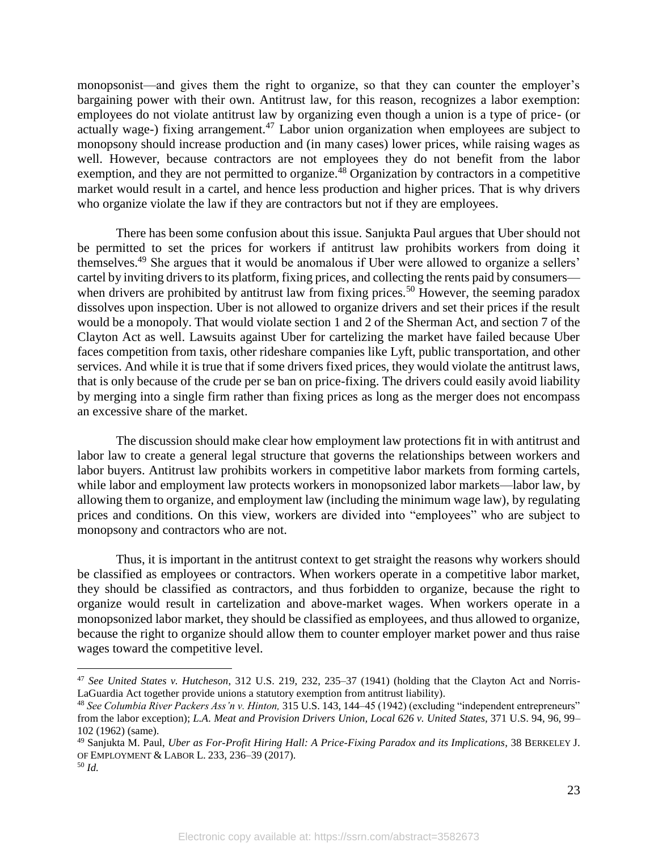monopsonist—and gives them the right to organize, so that they can counter the employer's bargaining power with their own. Antitrust law, for this reason, recognizes a labor exemption: employees do not violate antitrust law by organizing even though a union is a type of price- (or actually wage-) fixing arrangement.<sup>47</sup> Labor union organization when employees are subject to monopsony should increase production and (in many cases) lower prices, while raising wages as well. However, because contractors are not employees they do not benefit from the labor exemption, and they are not permitted to organize.<sup>48</sup> Organization by contractors in a competitive market would result in a cartel, and hence less production and higher prices. That is why drivers who organize violate the law if they are contractors but not if they are employees.

There has been some confusion about this issue. Sanjukta Paul argues that Uber should not be permitted to set the prices for workers if antitrust law prohibits workers from doing it themselves. <sup>49</sup> She argues that it would be anomalous if Uber were allowed to organize a sellers' cartel by inviting drivers to its platform, fixing prices, and collecting the rents paid by consumers when drivers are prohibited by antitrust law from fixing prices.<sup>50</sup> However, the seeming paradox dissolves upon inspection. Uber is not allowed to organize drivers and set their prices if the result would be a monopoly. That would violate section 1 and 2 of the Sherman Act, and section 7 of the Clayton Act as well. Lawsuits against Uber for cartelizing the market have failed because Uber faces competition from taxis, other rideshare companies like Lyft, public transportation, and other services. And while it is true that if some drivers fixed prices, they would violate the antitrust laws, that is only because of the crude per se ban on price-fixing. The drivers could easily avoid liability by merging into a single firm rather than fixing prices as long as the merger does not encompass an excessive share of the market.

The discussion should make clear how employment law protections fit in with antitrust and labor law to create a general legal structure that governs the relationships between workers and labor buyers. Antitrust law prohibits workers in competitive labor markets from forming cartels, while labor and employment law protects workers in monopsonized labor markets—labor law, by allowing them to organize, and employment law (including the minimum wage law), by regulating prices and conditions. On this view, workers are divided into "employees" who are subject to monopsony and contractors who are not.

Thus, it is important in the antitrust context to get straight the reasons why workers should be classified as employees or contractors. When workers operate in a competitive labor market, they should be classified as contractors, and thus forbidden to organize, because the right to organize would result in cartelization and above-market wages. When workers operate in a monopsonized labor market, they should be classified as employees, and thus allowed to organize, because the right to organize should allow them to counter employer market power and thus raise wages toward the competitive level.

<sup>47</sup> *See United States v. Hutcheson*, 312 U.S. 219, 232, 235–37 (1941) (holding that the Clayton Act and Norris-LaGuardia Act together provide unions a statutory exemption from antitrust liability).

<sup>48</sup> *See Columbia River Packers Ass'n v. Hinton,* 315 U.S. 143, 144–45 (1942) (excluding "independent entrepreneurs" from the labor exception); *L.A. Meat and Provision Drivers Union, Local 626 v. United States,* 371 U.S. 94, 96, 99– 102 (1962) (same).

<sup>49</sup> Sanjukta M. Paul, *Uber as For-Profit Hiring Hall: A Price-Fixing Paradox and its Implications*, 38 BERKELEY J. OF EMPLOYMENT & LABOR L. 233, 236–39 (2017).

<sup>50</sup> *Id.*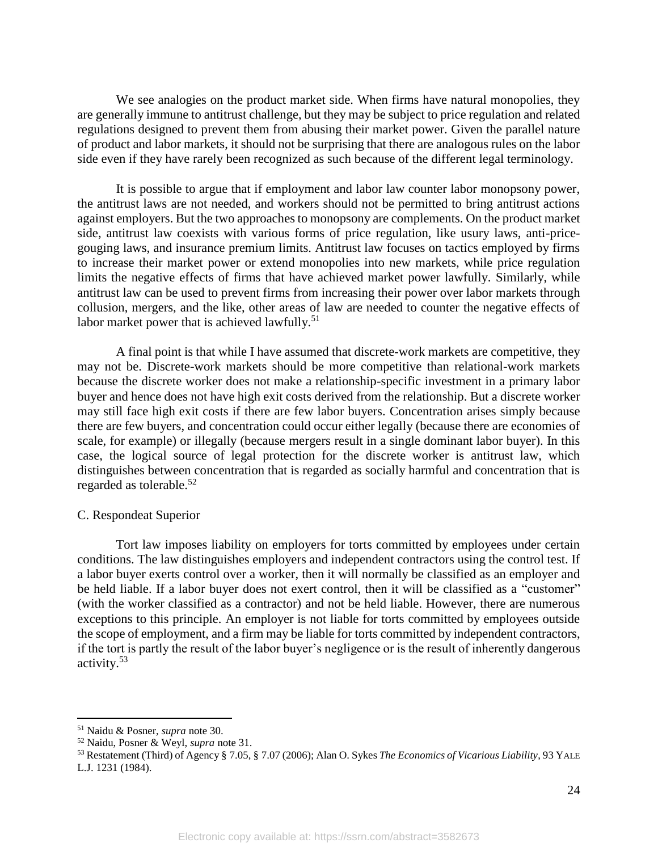We see analogies on the product market side. When firms have natural monopolies, they are generally immune to antitrust challenge, but they may be subject to price regulation and related regulations designed to prevent them from abusing their market power. Given the parallel nature of product and labor markets, it should not be surprising that there are analogous rules on the labor side even if they have rarely been recognized as such because of the different legal terminology.

It is possible to argue that if employment and labor law counter labor monopsony power, the antitrust laws are not needed, and workers should not be permitted to bring antitrust actions against employers. But the two approaches to monopsony are complements. On the product market side, antitrust law coexists with various forms of price regulation, like usury laws, anti-pricegouging laws, and insurance premium limits. Antitrust law focuses on tactics employed by firms to increase their market power or extend monopolies into new markets, while price regulation limits the negative effects of firms that have achieved market power lawfully. Similarly, while antitrust law can be used to prevent firms from increasing their power over labor markets through collusion, mergers, and the like, other areas of law are needed to counter the negative effects of labor market power that is achieved lawfully.<sup>51</sup>

A final point is that while I have assumed that discrete-work markets are competitive, they may not be. Discrete-work markets should be more competitive than relational-work markets because the discrete worker does not make a relationship-specific investment in a primary labor buyer and hence does not have high exit costs derived from the relationship. But a discrete worker may still face high exit costs if there are few labor buyers. Concentration arises simply because there are few buyers, and concentration could occur either legally (because there are economies of scale, for example) or illegally (because mergers result in a single dominant labor buyer). In this case, the logical source of legal protection for the discrete worker is antitrust law, which distinguishes between concentration that is regarded as socially harmful and concentration that is regarded as tolerable.<sup>52</sup>

## C. Respondeat Superior

Tort law imposes liability on employers for torts committed by employees under certain conditions. The law distinguishes employers and independent contractors using the control test. If a labor buyer exerts control over a worker, then it will normally be classified as an employer and be held liable. If a labor buyer does not exert control, then it will be classified as a "customer" (with the worker classified as a contractor) and not be held liable. However, there are numerous exceptions to this principle. An employer is not liable for torts committed by employees outside the scope of employment, and a firm may be liable for torts committed by independent contractors, if the tort is partly the result of the labor buyer's negligence or is the result of inherently dangerous activity.<sup>53</sup>

<span id="page-24-0"></span><sup>51</sup> Naidu & Posner, *supra* note [30.](#page-14-0)

<sup>52</sup> Naidu, Posner & Weyl, *supra* note [31.](#page-15-0)

<sup>53</sup> Restatement (Third) of Agency § 7.05, § 7.07 (2006); Alan O. Sykes *The Economics of Vicarious Liability*, 93 YALE L.J. 1231 (1984).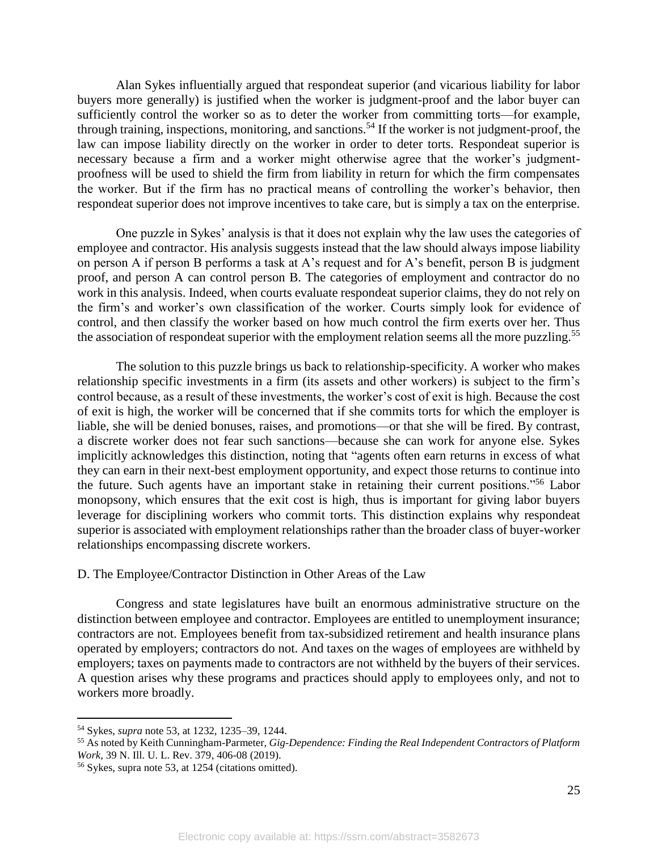Alan Sykes influentially argued that respondeat superior (and vicarious liability for labor buyers more generally) is justified when the worker is judgment-proof and the labor buyer can sufficiently control the worker so as to deter the worker from committing torts—for example, through training, inspections, monitoring, and sanctions.<sup>54</sup> If the worker is not judgment-proof, the law can impose liability directly on the worker in order to deter torts. Respondeat superior is necessary because a firm and a worker might otherwise agree that the worker's judgmentproofness will be used to shield the firm from liability in return for which the firm compensates the worker. But if the firm has no practical means of controlling the worker's behavior, then respondeat superior does not improve incentives to take care, but is simply a tax on the enterprise.

One puzzle in Sykes' analysis is that it does not explain why the law uses the categories of employee and contractor. His analysis suggests instead that the law should always impose liability on person A if person B performs a task at A's request and for A's benefit, person B is judgment proof, and person A can control person B. The categories of employment and contractor do no work in this analysis. Indeed, when courts evaluate respondeat superior claims, they do not rely on the firm's and worker's own classification of the worker. Courts simply look for evidence of control, and then classify the worker based on how much control the firm exerts over her. Thus the association of respondeat superior with the employment relation seems all the more puzzling.<sup>55</sup>

The solution to this puzzle brings us back to relationship-specificity. A worker who makes relationship specific investments in a firm (its assets and other workers) is subject to the firm's control because, as a result of these investments, the worker's cost of exit is high. Because the cost of exit is high, the worker will be concerned that if she commits torts for which the employer is liable, she will be denied bonuses, raises, and promotions—or that she will be fired. By contrast, a discrete worker does not fear such sanctions—because she can work for anyone else. Sykes implicitly acknowledges this distinction, noting that "agents often earn returns in excess of what they can earn in their next-best employment opportunity, and expect those returns to continue into the future. Such agents have an important stake in retaining their current positions."<sup>56</sup> Labor monopsony, which ensures that the exit cost is high, thus is important for giving labor buyers leverage for disciplining workers who commit torts. This distinction explains why respondeat superior is associated with employment relationships rather than the broader class of buyer-worker relationships encompassing discrete workers.

D. The Employee/Contractor Distinction in Other Areas of the Law

Congress and state legislatures have built an enormous administrative structure on the distinction between employee and contractor. Employees are entitled to unemployment insurance; contractors are not. Employees benefit from tax-subsidized retirement and health insurance plans operated by employers; contractors do not. And taxes on the wages of employees are withheld by employers; taxes on payments made to contractors are not withheld by the buyers of their services. A question arises why these programs and practices should apply to employees only, and not to workers more broadly.

<sup>54</sup> Sykes, *supra* note [53,](#page-24-0) at 1232, 1235–39, 1244.

<sup>55</sup> As noted by Keith Cunningham-Parmeter, *Gig-Dependence: Finding the Real Independent Contractors of Platform Work*, 39 N. Ill. U. L. Rev. 379, 406-08 (2019).

<sup>56</sup> Sykes, supra note [53,](#page-24-0) at 1254 (citations omitted).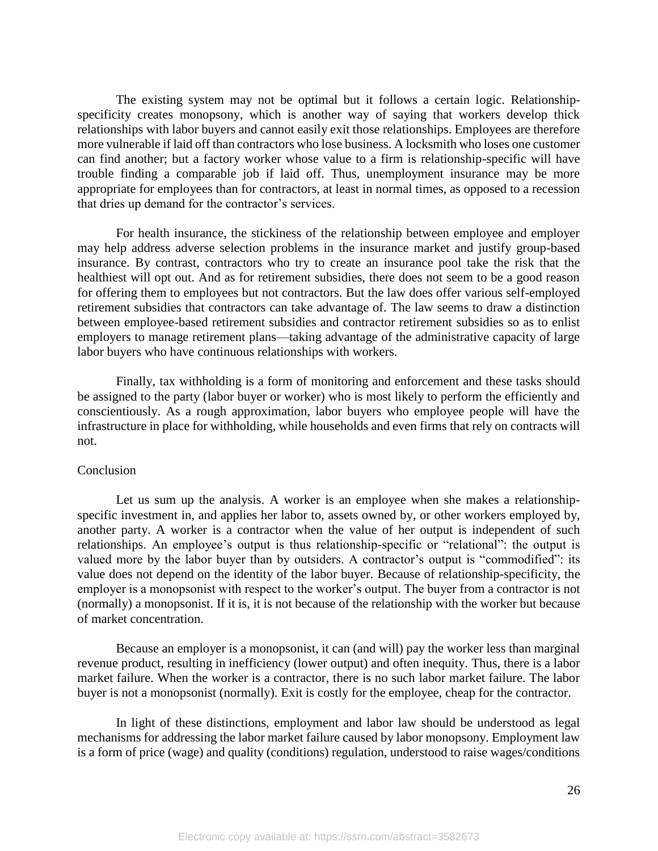The existing system may not be optimal but it follows a certain logic. Relationshipspecificity creates monopsony, which is another way of saying that workers develop thick relationships with labor buyers and cannot easily exit those relationships. Employees are therefore more vulnerable if laid off than contractors who lose business. A locksmith who loses one customer can find another; but a factory worker whose value to a firm is relationship-specific will have trouble finding a comparable job if laid off. Thus, unemployment insurance may be more appropriate for employees than for contractors, at least in normal times, as opposed to a recession that dries up demand for the contractor's services.

For health insurance, the stickiness of the relationship between employee and employer may help address adverse selection problems in the insurance market and justify group-based insurance. By contrast, contractors who try to create an insurance pool take the risk that the healthiest will opt out. And as for retirement subsidies, there does not seem to be a good reason for offering them to employees but not contractors. But the law does offer various self-employed retirement subsidies that contractors can take advantage of. The law seems to draw a distinction between employee-based retirement subsidies and contractor retirement subsidies so as to enlist employers to manage retirement plans—taking advantage of the administrative capacity of large labor buyers who have continuous relationships with workers.

Finally, tax withholding is a form of monitoring and enforcement and these tasks should be assigned to the party (labor buyer or worker) who is most likely to perform the efficiently and conscientiously. As a rough approximation, labor buyers who employee people will have the infrastructure in place for withholding, while households and even firms that rely on contracts will not.

# **Conclusion**

Let us sum up the analysis. A worker is an employee when she makes a relationshipspecific investment in, and applies her labor to, assets owned by, or other workers employed by, another party. A worker is a contractor when the value of her output is independent of such relationships. An employee's output is thus relationship-specific or "relational": the output is valued more by the labor buyer than by outsiders. A contractor's output is "commodified": its value does not depend on the identity of the labor buyer. Because of relationship-specificity, the employer is a monopsonist with respect to the worker's output. The buyer from a contractor is not (normally) a monopsonist. If it is, it is not because of the relationship with the worker but because of market concentration.

Because an employer is a monopsonist, it can (and will) pay the worker less than marginal revenue product, resulting in inefficiency (lower output) and often inequity. Thus, there is a labor market failure. When the worker is a contractor, there is no such labor market failure. The labor buyer is not a monopsonist (normally). Exit is costly for the employee, cheap for the contractor.

In light of these distinctions, employment and labor law should be understood as legal mechanisms for addressing the labor market failure caused by labor monopsony. Employment law is a form of price (wage) and quality (conditions) regulation, understood to raise wages/conditions